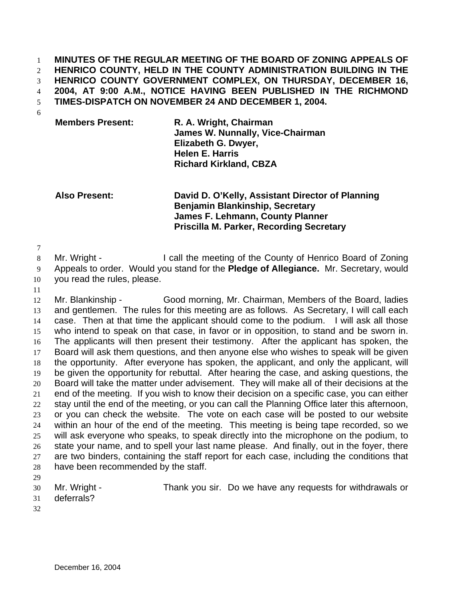**MINUTES OF THE REGULAR MEETING OF THE BOARD OF ZONING APPEALS OF HENRICO COUNTY, HELD IN THE COUNTY ADMINISTRATION BUILDING IN THE HENRICO COUNTY GOVERNMENT COMPLEX, ON THURSDAY, DECEMBER 16, 2004, AT 9:00 A.M., NOTICE HAVING BEEN PUBLISHED IN THE RICHMOND TIMES-DISPATCH ON NOVEMBER 24 AND DECEMBER 1, 2004.**  1 2 3 4 5

- 6
- **Members Present: R. A. Wright, Chairman James W. Nunnally, Vice-Chairman Elizabeth G. Dwyer, Helen E. Harris Richard Kirkland, CBZA**

**Also Present: David D. O'Kelly, Assistant Director of Planning Benjamin Blankinship, Secretary James F. Lehmann, County Planner Priscilla M. Parker, Recording Secretary** 

7

8 Mr. Wright - I call the meeting of the County of Henrico Board of Zoning

9 Appeals to order. Would you stand for the **Pledge of Allegiance.** Mr. Secretary, would

- 10 you read the rules, please.
- 11

12 13 14 15 16 17 18 19 20 21 22 23 24 25 26 27 28 Mr. Blankinship - Good morning, Mr. Chairman, Members of the Board, ladies and gentlemen. The rules for this meeting are as follows. As Secretary, I will call each case. Then at that time the applicant should come to the podium. I will ask all those who intend to speak on that case, in favor or in opposition, to stand and be sworn in. The applicants will then present their testimony. After the applicant has spoken, the Board will ask them questions, and then anyone else who wishes to speak will be given the opportunity. After everyone has spoken, the applicant, and only the applicant, will be given the opportunity for rebuttal. After hearing the case, and asking questions, the Board will take the matter under advisement. They will make all of their decisions at the end of the meeting. If you wish to know their decision on a specific case, you can either stay until the end of the meeting, or you can call the Planning Office later this afternoon, or you can check the website. The vote on each case will be posted to our website within an hour of the end of the meeting. This meeting is being tape recorded, so we will ask everyone who speaks, to speak directly into the microphone on the podium, to state your name, and to spell your last name please. And finally, out in the foyer, there are two binders, containing the staff report for each case, including the conditions that have been recommended by the staff.

- 29
- 30

Mr. Wright - Thank you sir. Do we have any requests for withdrawals or

- 31 deferrals?
- 32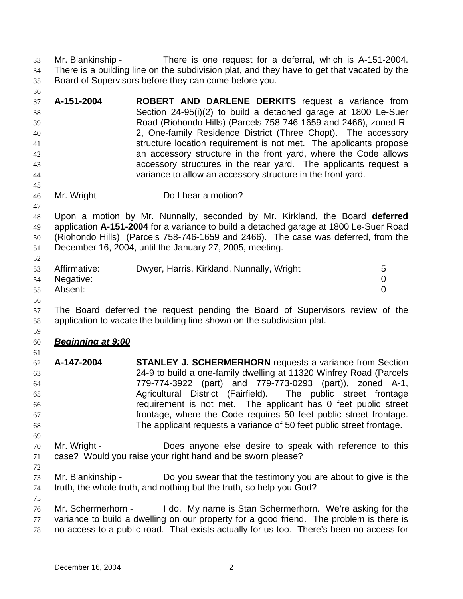Mr. Blankinship - There is one request for a deferral, which is A-151-2004. There is a building line on the subdivision plat, and they have to get that vacated by the Board of Supervisors before they can come before you. 33 34 35

37 38 39 40 41 42 43 44 **A-151-2004 ROBERT AND DARLENE DERKITS** request a variance from Section 24-95(i)(2) to build a detached garage at 1800 Le-Suer Road (Riohondo Hills) (Parcels 758-746-1659 and 2466), zoned R-2, One-family Residence District (Three Chopt). The accessory structure location requirement is not met. The applicants propose an accessory structure in the front yard, where the Code allows accessory structures in the rear yard. The applicants request a variance to allow an accessory structure in the front yard.

- 46 Mr. Wright - Do I hear a motion?
- 48 49 50 51 Upon a motion by Mr. Nunnally, seconded by Mr. Kirkland, the Board **deferred** application **A-151-2004** for a variance to build a detached garage at 1800 Le-Suer Road (Riohondo Hills) (Parcels 758-746-1659 and 2466). The case was deferred, from the December 16, 2004, until the January 27, 2005, meeting.

|    | 53 Affirmative: | Dwyer, Harris, Kirkland, Nunnally, Wright | 5 |
|----|-----------------|-------------------------------------------|---|
|    | 54 Negative:    |                                           |   |
| 55 | Absent:         |                                           |   |
| 56 |                 |                                           |   |

- 57 58 The Board deferred the request pending the Board of Supervisors review of the application to vacate the building line shown on the subdivision plat.
- 60 *Beginning at 9:00*
- 62 63 64 65 66 67 68 **A-147-2004 STANLEY J. SCHERMERHORN** requests a variance from Section 24-9 to build a one-family dwelling at 11320 Winfrey Road (Parcels 779-774-3922 (part) and 779-773-0293 (part)), zoned A-1, Agricultural District (Fairfield). The public street frontage requirement is not met. The applicant has 0 feet public street frontage, where the Code requires 50 feet public street frontage. The applicant requests a variance of 50 feet public street frontage.
- 70 71 Mr. Wright - **Does anyone else desire to speak with reference to this** case? Would you raise your right hand and be sworn please?
- 72

75

69

36

45

47

52

59

- 73 74 Mr. Blankinship - Do you swear that the testimony you are about to give is the truth, the whole truth, and nothing but the truth, so help you God?
- 76 77 78 Mr. Schermerhorn - I do. My name is Stan Schermerhorn. We're asking for the variance to build a dwelling on our property for a good friend. The problem is there is no access to a public road. That exists actually for us too. There's been no access for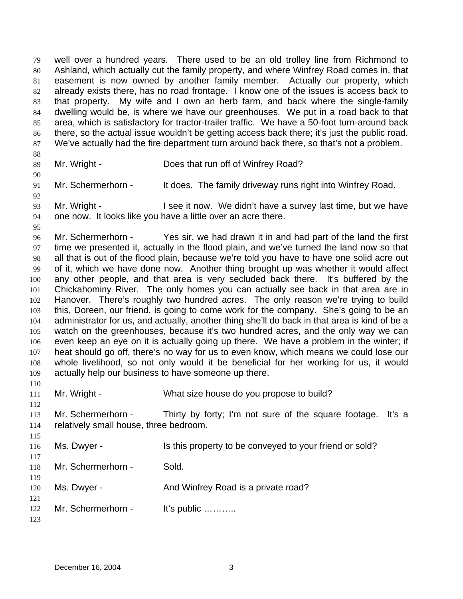well over a hundred years. There used to be an old trolley line from Richmond to Ashland, which actually cut the family property, and where Winfrey Road comes in, that easement is now owned by another family member. Actually our property, which already exists there, has no road frontage. I know one of the issues is access back to that property. My wife and I own an herb farm, and back where the single-family dwelling would be, is where we have our greenhouses. We put in a road back to that area, which is satisfactory for tractor-trailer traffic. We have a 50-foot turn-around back there, so the actual issue wouldn't be getting access back there; it's just the public road. We've actually had the fire department turn around back there, so that's not a problem. 79 80 81 82 83 84 85 86 87 88 89 90 91 92 93 94 95 96 97 98 99 100 101 102 Mr. Wright - Does that run off of Winfrey Road? Mr. Schermerhorn - It does. The family driveway runs right into Winfrey Road. Mr. Wright - I see it now. We didn't have a survey last time, but we have one now. It looks like you have a little over an acre there. Mr. Schermerhorn - Yes sir, we had drawn it in and had part of the land the first time we presented it, actually in the flood plain, and we've turned the land now so that all that is out of the flood plain, because we're told you have to have one solid acre out of it, which we have done now. Another thing brought up was whether it would affect any other people, and that area is very secluded back there. It's buffered by the Chickahominy River. The only homes you can actually see back in that area are in Hanover. There's roughly two hundred acres. The only reason we're trying to build

103 104 105 106 107 108 109 this, Doreen, our friend, is going to come work for the company. She's going to be an administrator for us, and actually, another thing she'll do back in that area is kind of be a watch on the greenhouses, because it's two hundred acres, and the only way we can even keep an eye on it is actually going up there. We have a problem in the winter; if heat should go off, there's no way for us to even know, which means we could lose our whole livelihood, so not only would it be beneficial for her working for us, it would actually help our business to have someone up there.

110 111

112

115

Mr. Wright - What size house do you propose to build?

113 114 Mr. Schermerhorn - Thirty by forty; I'm not sure of the square footage. It's a relatively small house, three bedroom.

| 116               | Ms. Dwyer -        | Is this property to be conveyed to your friend or sold? |
|-------------------|--------------------|---------------------------------------------------------|
| 117<br>118        | Mr. Schermerhorn - | Sold.                                                   |
| 119<br>120        | Ms. Dwyer -        | And Winfrey Road is a private road?                     |
| 121<br>122<br>123 | Mr. Schermerhorn - | It's public $\dots\dots\dots$                           |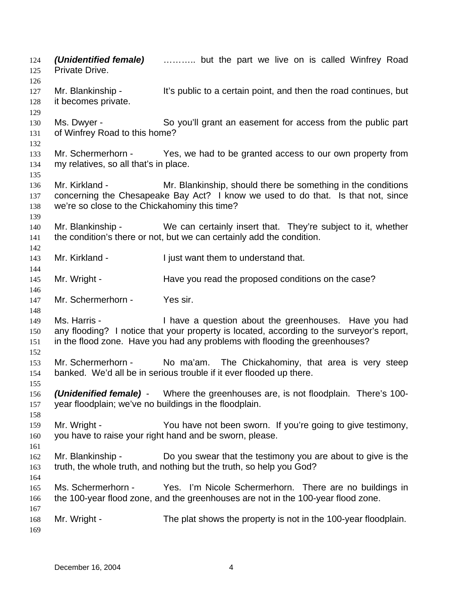*(Unidentified female)* ……….. but the part we live on is called Winfrey Road Private Drive. 124 125 126 127 128 129 130 131 132 133 134 135 136 137 138 139 140 141 142 143 144 145 146 147 148 149 150 151 152 153 154 155 156 157 158 159 160 161 162 163 164 165 166 167 168 169 Mr. Blankinship - It's public to a certain point, and then the road continues, but it becomes private. Ms. Dwyer - So you'll grant an easement for access from the public part of Winfrey Road to this home? Mr. Schermerhorn - Yes, we had to be granted access to our own property from my relatives, so all that's in place. Mr. Kirkland - Mr. Blankinship, should there be something in the conditions concerning the Chesapeake Bay Act? I know we used to do that. Is that not, since we're so close to the Chickahominy this time? Mr. Blankinship - We can certainly insert that. They're subject to it, whether the condition's there or not, but we can certainly add the condition. Mr. Kirkland - I just want them to understand that. Mr. Wright - Have you read the proposed conditions on the case? Mr. Schermerhorn - Yes sir. Ms. Harris - Thave a question about the greenhouses. Have you had any flooding? I notice that your property is located, according to the surveyor's report, in the flood zone. Have you had any problems with flooding the greenhouses? Mr. Schermerhorn - No ma'am. The Chickahominy, that area is very steep banked. We'd all be in serious trouble if it ever flooded up there. *(Unidenified female)* - Where the greenhouses are, is not floodplain. There's 100 year floodplain; we've no buildings in the floodplain. Mr. Wright - You have not been sworn. If you're going to give testimony, you have to raise your right hand and be sworn, please. Mr. Blankinship - Do you swear that the testimony you are about to give is the truth, the whole truth, and nothing but the truth, so help you God? Ms. Schermerhorn - Yes. I'm Nicole Schermerhorn. There are no buildings in the 100-year flood zone, and the greenhouses are not in the 100-year flood zone. Mr. Wright - The plat shows the property is not in the 100-year floodplain.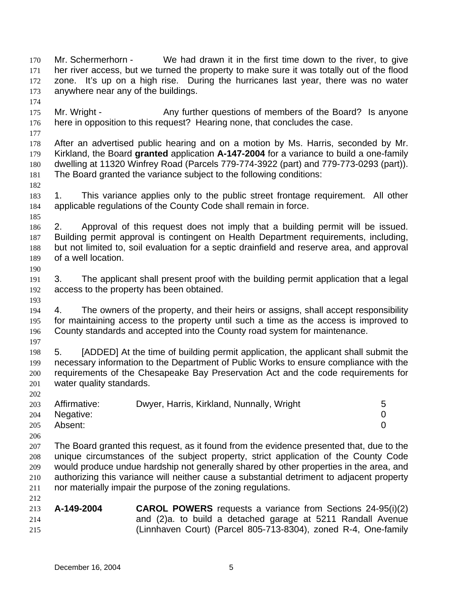Mr. Schermerhorn - We had drawn it in the first time down to the river, to give her river access, but we turned the property to make sure it was totally out of the flood zone. It's up on a high rise. During the hurricanes last year, there was no water anywhere near any of the buildings. 170 171 172 173 174 175 176 177 178 179 180 181 182 183 184 185 186 187 188 189 190 191 192 193 194 195 196 197 198 199 200 201 202 203 204 205 206 207 208 209 210 211 212 213 214 215 Mr. Wright - Any further questions of members of the Board? Is anyone here in opposition to this request? Hearing none, that concludes the case. After an advertised public hearing and on a motion by Ms. Harris, seconded by Mr. Kirkland, the Board **granted** application **A-147-2004** for a variance to build a one-family dwelling at 11320 Winfrey Road (Parcels 779-774-3922 (part) and 779-773-0293 (part)). The Board granted the variance subject to the following conditions: 1. This variance applies only to the public street frontage requirement. All other applicable regulations of the County Code shall remain in force. 2. Approval of this request does not imply that a building permit will be issued. Building permit approval is contingent on Health Department requirements, including, but not limited to, soil evaluation for a septic drainfield and reserve area, and approval of a well location. 3. The applicant shall present proof with the building permit application that a legal access to the property has been obtained. 4. The owners of the property, and their heirs or assigns, shall accept responsibility for maintaining access to the property until such a time as the access is improved to County standards and accepted into the County road system for maintenance. 5. [ADDED] At the time of building permit application, the applicant shall submit the necessary information to the Department of Public Works to ensure compliance with the requirements of the Chesapeake Bay Preservation Act and the code requirements for water quality standards. Affirmative: Dwyer, Harris, Kirkland, Nunnally, Wright 5 Negative: 0 Absent: 0 The Board granted this request, as it found from the evidence presented that, due to the unique circumstances of the subject property, strict application of the County Code would produce undue hardship not generally shared by other properties in the area, and authorizing this variance will neither cause a substantial detriment to adjacent property nor materially impair the purpose of the zoning regulations. **A-149-2004 CAROL POWERS** requests a variance from Sections 24-95(i)(2) and (2)a. to build a detached garage at 5211 Randall Avenue (Linnhaven Court) (Parcel 805-713-8304), zoned R-4, One-family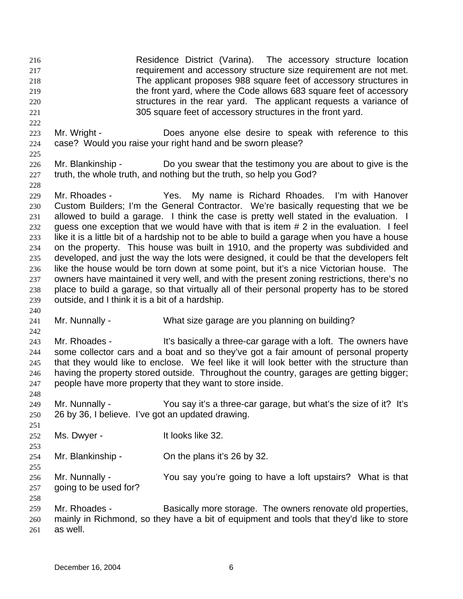- Residence District (Varina). The accessory structure location requirement and accessory structure size requirement are not met. The applicant proposes 988 square feet of accessory structures in the front yard, where the Code allows 683 square feet of accessory structures in the rear yard. The applicant requests a variance of 305 square feet of accessory structures in the front yard. 216 217 218 219 220 221
- 223 224 Mr. Wright - **Does anyone else desire to speak with reference to this** case? Would you raise your right hand and be sworn please?
- 225

228

240

242

248

251

253

255

- 226 227 Mr. Blankinship - Do you swear that the testimony you are about to give is the truth, the whole truth, and nothing but the truth, so help you God?
- 229 230 231 232 233 234 235 236 237 238 239 Mr. Rhoades - Yes. My name is Richard Rhoades. I'm with Hanover Custom Builders; I'm the General Contractor. We're basically requesting that we be allowed to build a garage. I think the case is pretty well stated in the evaluation. I guess one exception that we would have with that is item # 2 in the evaluation. I feel like it is a little bit of a hardship not to be able to build a garage when you have a house on the property. This house was built in 1910, and the property was subdivided and developed, and just the way the lots were designed, it could be that the developers felt like the house would be torn down at some point, but it's a nice Victorian house. The owners have maintained it very well, and with the present zoning restrictions, there's no place to build a garage, so that virtually all of their personal property has to be stored outside, and I think it is a bit of a hardship.
- 241 Mr. Nunnally - What size garage are you planning on building?
- 243 244 245 246 247 Mr. Rhoades - It's basically a three-car garage with a loft. The owners have some collector cars and a boat and so they've got a fair amount of personal property that they would like to enclose. We feel like it will look better with the structure than having the property stored outside. Throughout the country, garages are getting bigger; people have more property that they want to store inside.
- 249 250 Mr. Nunnally - You say it's a three-car garage, but what's the size of it? It's 26 by 36, I believe. I've got an updated drawing.
- 252 Ms. Dwyer - It looks like 32.
- 254 Mr. Blankinship - Chithe plans it's 26 by 32.
- 256 257 Mr. Nunnally - You say you're going to have a loft upstairs? What is that going to be used for?
- 258 259 260 261 Mr. Rhoades - Basically more storage. The owners renovate old properties, mainly in Richmond, so they have a bit of equipment and tools that they'd like to store as well.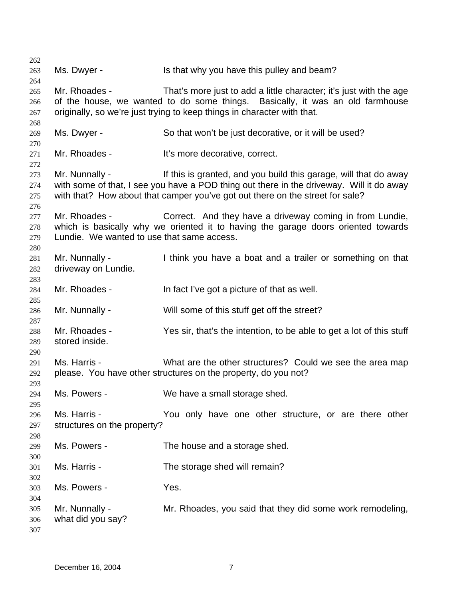Ms. Dwyer - Is that why you have this pulley and beam? Mr. Rhoades - That's more just to add a little character; it's just with the age of the house, we wanted to do some things. Basically, it was an old farmhouse originally, so we're just trying to keep things in character with that. Ms. Dwyer - So that won't be just decorative, or it will be used? Mr. Rhoades - It's more decorative, correct. Mr. Nunnally - If this is granted, and you build this garage, will that do away with some of that, I see you have a POD thing out there in the driveway. Will it do away with that? How about that camper you've got out there on the street for sale? Mr. Rhoades - Correct. And they have a driveway coming in from Lundie, which is basically why we oriented it to having the garage doors oriented towards Lundie. We wanted to use that same access. Mr. Nunnally - I think you have a boat and a trailer or something on that driveway on Lundie. Mr. Rhoades - In fact I've got a picture of that as well. Mr. Nunnally - Will some of this stuff get off the street? Mr. Rhoades - Yes sir, that's the intention, to be able to get a lot of this stuff stored inside. Ms. Harris - What are the other structures? Could we see the area map please. You have other structures on the property, do you not? Ms. Powers - We have a small storage shed. Ms. Harris - The You only have one other structure, or are there other structures on the property? Ms. Powers - The house and a storage shed. Ms. Harris - The storage shed will remain? Ms. Powers - The Yes. Mr. Nunnally - Mr. Rhoades, you said that they did some work remodeling, what did you say?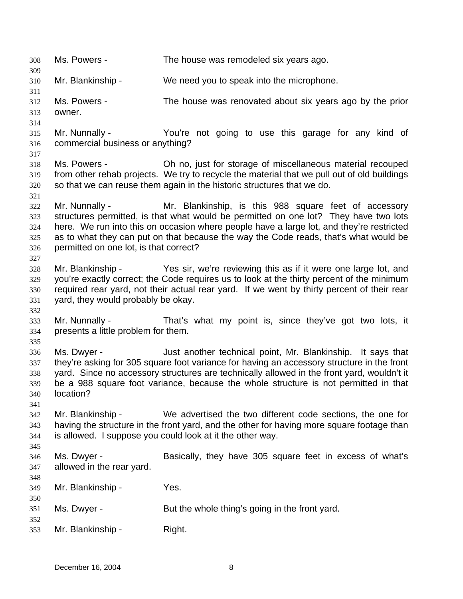308 Ms. Powers - The house was remodeled six years ago. 309 310 311 312 313 314 315 316 317 318 319 320 321 322 323 324 325 326 327 328 329 330 331 332 333 334 335 336 337 338 339 340 341 342 343 344 345 346 347 348 349 350 351 352 353 Mr. Blankinship - We need you to speak into the microphone. Ms. Powers - The house was renovated about six years ago by the prior owner. Mr. Nunnally - You're not going to use this garage for any kind of commercial business or anything? Ms. Powers - Oh no, just for storage of miscellaneous material recouped from other rehab projects. We try to recycle the material that we pull out of old buildings so that we can reuse them again in the historic structures that we do. Mr. Nunnally - Mr. Blankinship, is this 988 square feet of accessory structures permitted, is that what would be permitted on one lot? They have two lots here. We run into this on occasion where people have a large lot, and they're restricted as to what they can put on that because the way the Code reads, that's what would be permitted on one lot, is that correct? Mr. Blankinship - Yes sir, we're reviewing this as if it were one large lot, and you're exactly correct; the Code requires us to look at the thirty percent of the minimum required rear yard, not their actual rear yard. If we went by thirty percent of their rear yard, they would probably be okay. Mr. Nunnally - That's what my point is, since they've got two lots, it presents a little problem for them. Ms. Dwyer - Just another technical point, Mr. Blankinship. It says that they're asking for 305 square foot variance for having an accessory structure in the front yard. Since no accessory structures are technically allowed in the front yard, wouldn't it be a 988 square foot variance, because the whole structure is not permitted in that location? Mr. Blankinship - We advertised the two different code sections, the one for having the structure in the front yard, and the other for having more square footage than is allowed. I suppose you could look at it the other way. Ms. Dwyer - **Basically, they have 305 square feet in excess of what's** allowed in the rear yard. Mr. Blankinship - Yes. Ms. Dwyer - But the whole thing's going in the front yard. Mr. Blankinship - Right.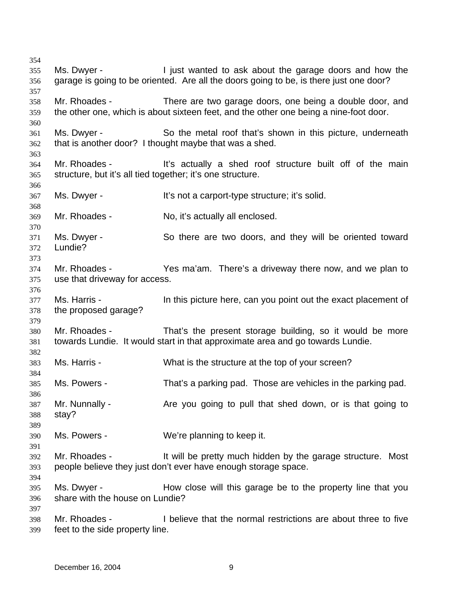Ms. Dwyer - I just wanted to ask about the garage doors and how the garage is going to be oriented. Are all the doors going to be, is there just one door? Mr. Rhoades - There are two garage doors, one being a double door, and the other one, which is about sixteen feet, and the other one being a nine-foot door. Ms. Dwyer - So the metal roof that's shown in this picture, underneath that is another door? I thought maybe that was a shed. Mr. Rhoades - This actually a shed roof structure built off of the main structure, but it's all tied together; it's one structure. Ms. Dwyer - It's not a carport-type structure; it's solid. Mr. Rhoades - No, it's actually all enclosed. Ms. Dwyer - So there are two doors, and they will be oriented toward Lundie? Mr. Rhoades - Yes ma'am. There's a driveway there now, and we plan to use that driveway for access. Ms. Harris - In this picture here, can you point out the exact placement of the proposed garage? Mr. Rhoades - That's the present storage building, so it would be more towards Lundie. It would start in that approximate area and go towards Lundie. Ms. Harris - What is the structure at the top of your screen? Ms. Powers - That's a parking pad. Those are vehicles in the parking pad. Mr. Nunnally - The you going to pull that shed down, or is that going to stay? Ms. Powers - We're planning to keep it. Mr. Rhoades - It will be pretty much hidden by the garage structure. Most people believe they just don't ever have enough storage space. Ms. Dwyer - **How close will this garage be to the property line that you** share with the house on Lundie? Mr. Rhoades - I believe that the normal restrictions are about three to five feet to the side property line.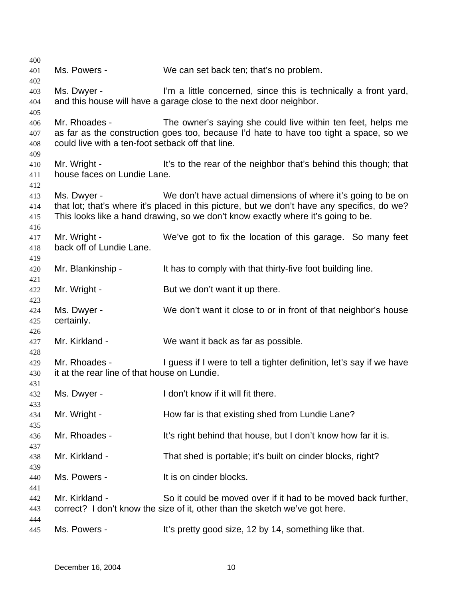| 400                      |                                                                    |                                                                                                                                                                                                                                                 |
|--------------------------|--------------------------------------------------------------------|-------------------------------------------------------------------------------------------------------------------------------------------------------------------------------------------------------------------------------------------------|
| 401                      | Ms. Powers -                                                       | We can set back ten; that's no problem.                                                                                                                                                                                                         |
| 402<br>403               | Ms. Dwyer -                                                        | I'm a little concerned, since this is technically a front yard,                                                                                                                                                                                 |
| 404<br>405               |                                                                    | and this house will have a garage close to the next door neighbor.                                                                                                                                                                              |
| 406<br>407<br>408<br>409 | Mr. Rhoades -<br>could live with a ten-foot setback off that line. | The owner's saying she could live within ten feet, helps me<br>as far as the construction goes too, because I'd hate to have too tight a space, so we                                                                                           |
| 410<br>411<br>412        | Mr. Wright -<br>house faces on Lundie Lane.                        | It's to the rear of the neighbor that's behind this though; that                                                                                                                                                                                |
| 413<br>414<br>415<br>416 | Ms. Dwyer -                                                        | We don't have actual dimensions of where it's going to be on<br>that lot; that's where it's placed in this picture, but we don't have any specifics, do we?<br>This looks like a hand drawing, so we don't know exactly where it's going to be. |
| 417<br>418<br>419        | Mr. Wright -<br>back off of Lundie Lane.                           | We've got to fix the location of this garage. So many feet                                                                                                                                                                                      |
| 420<br>421               | Mr. Blankinship -                                                  | It has to comply with that thirty-five foot building line.                                                                                                                                                                                      |
| 422<br>423               | Mr. Wright -                                                       | But we don't want it up there.                                                                                                                                                                                                                  |
| 424<br>425<br>426        | Ms. Dwyer -<br>certainly.                                          | We don't want it close to or in front of that neighbor's house                                                                                                                                                                                  |
| 427<br>428               | Mr. Kirkland -                                                     | We want it back as far as possible.                                                                                                                                                                                                             |
| 429<br>430<br>431        | Mr. Rhoades -<br>it at the rear line of that house on Lundie.      | I guess if I were to tell a tighter definition, let's say if we have                                                                                                                                                                            |
| 432<br>433               | Ms. Dwyer -                                                        | I don't know if it will fit there.                                                                                                                                                                                                              |
| 434<br>435               | Mr. Wright -                                                       | How far is that existing shed from Lundie Lane?                                                                                                                                                                                                 |
| 436<br>437               | Mr. Rhoades -                                                      | It's right behind that house, but I don't know how far it is.                                                                                                                                                                                   |
| 438<br>439               | Mr. Kirkland -                                                     | That shed is portable; it's built on cinder blocks, right?                                                                                                                                                                                      |
| 440<br>441               | Ms. Powers -                                                       | It is on cinder blocks.                                                                                                                                                                                                                         |
| 442<br>443               | Mr. Kirkland -                                                     | So it could be moved over if it had to be moved back further,<br>correct? I don't know the size of it, other than the sketch we've got here.                                                                                                    |
| 444<br>445               | Ms. Powers -                                                       | It's pretty good size, 12 by 14, something like that.                                                                                                                                                                                           |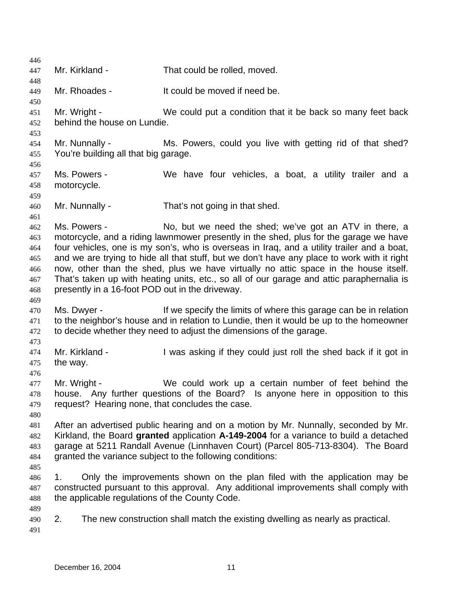446 447 448 449 450 451 452 453 454 455 456 457 458 459 460 461 462 463 464 465 466 467 468 469 470 471 472 473 474 475 476 477 478 479 480 481 482 483 484 485 486 487 488 489 490 491 Mr. Kirkland - That could be rolled, moved. Mr. Rhoades - It could be moved if need be. Mr. Wright - We could put a condition that it be back so many feet back behind the house on Lundie. Mr. Nunnally - Ms. Powers, could you live with getting rid of that shed? You're building all that big garage. Ms. Powers - We have four vehicles, a boat, a utility trailer and a motorcycle. Mr. Nunnally - That's not going in that shed. Ms. Powers - No, but we need the shed; we've got an ATV in there, a motorcycle, and a riding lawnmower presently in the shed, plus for the garage we have four vehicles, one is my son's, who is overseas in Iraq, and a utility trailer and a boat, and we are trying to hide all that stuff, but we don't have any place to work with it right now, other than the shed, plus we have virtually no attic space in the house itself. That's taken up with heating units, etc., so all of our garage and attic paraphernalia is presently in a 16-foot POD out in the driveway. Ms. Dwyer - If we specify the limits of where this garage can be in relation to the neighbor's house and in relation to Lundie, then it would be up to the homeowner to decide whether they need to adjust the dimensions of the garage. Mr. Kirkland - I was asking if they could just roll the shed back if it got in the way. Mr. Wright - We could work up a certain number of feet behind the house. Any further questions of the Board? Is anyone here in opposition to this request? Hearing none, that concludes the case. After an advertised public hearing and on a motion by Mr. Nunnally, seconded by Mr. Kirkland, the Board **granted** application **A-149-2004** for a variance to build a detached garage at 5211 Randall Avenue (Linnhaven Court) (Parcel 805-713-8304). The Board granted the variance subject to the following conditions: 1. Only the improvements shown on the plan filed with the application may be constructed pursuant to this approval. Any additional improvements shall comply with the applicable regulations of the County Code. 2. The new construction shall match the existing dwelling as nearly as practical.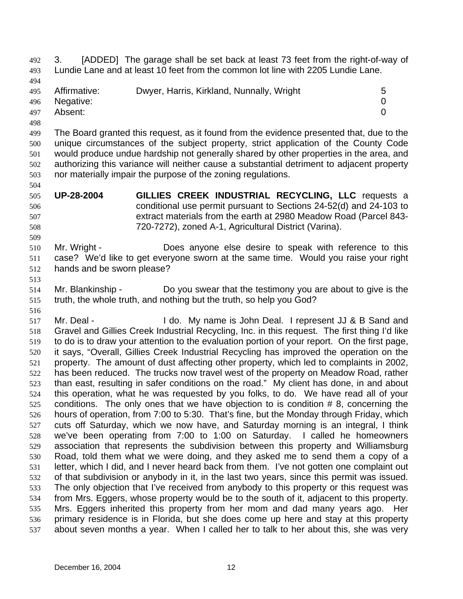Lundie Lane and at least 10 feet from the common lot line with 2205 Lundie Lane. 493 494 495 496 497 498 499 500 501 502 503 504 505 506 507 508 509 510 511 512 513 514 515 516 517 518 519 520 521 522 523 524 525 526 527 528 529 530 531 532 533 534 535 536 Affirmative: Dwyer, Harris, Kirkland, Nunnally, Wright 5 Negative: 0 Absent: 0 The Board granted this request, as it found from the evidence presented that, due to the unique circumstances of the subject property, strict application of the County Code would produce undue hardship not generally shared by other properties in the area, and authorizing this variance will neither cause a substantial detriment to adjacent property nor materially impair the purpose of the zoning regulations. **UP-28-2004 GILLIES CREEK INDUSTRIAL RECYCLING, LLC** requests a conditional use permit pursuant to Sections 24-52(d) and 24-103 to extract materials from the earth at 2980 Meadow Road (Parcel 843- 720-7272), zoned A-1, Agricultural District (Varina). Mr. Wright - **Does anyone else desire to speak with reference to this** case? We'd like to get everyone sworn at the same time. Would you raise your right hands and be sworn please? Mr. Blankinship - Do you swear that the testimony you are about to give is the truth, the whole truth, and nothing but the truth, so help you God? Mr. Deal - I do. My name is John Deal. I represent JJ & B Sand and Gravel and Gillies Creek Industrial Recycling, Inc. in this request. The first thing I'd like to do is to draw your attention to the evaluation portion of your report. On the first page, it says, "Overall, Gillies Creek Industrial Recycling has improved the operation on the property. The amount of dust affecting other property, which led to complaints in 2002, has been reduced. The trucks now travel west of the property on Meadow Road, rather than east, resulting in safer conditions on the road." My client has done, in and about this operation, what he was requested by you folks, to do. We have read all of your conditions. The only ones that we have objection to is condition # 8, concerning the hours of operation, from 7:00 to 5:30. That's fine, but the Monday through Friday, which cuts off Saturday, which we now have, and Saturday morning is an integral, I think we've been operating from 7:00 to 1:00 on Saturday. I called he homeowners association that represents the subdivision between this property and Williamsburg Road, told them what we were doing, and they asked me to send them a copy of a letter, which I did, and I never heard back from them. I've not gotten one complaint out of that subdivision or anybody in it, in the last two years, since this permit was issued. The only objection that I've received from anybody to this property or this request was from Mrs. Eggers, whose property would be to the south of it, adjacent to this property. Mrs. Eggers inherited this property from her mom and dad many years ago. Her primary residence is in Florida, but she does come up here and stay at this property

3. [ADDED] The garage shall be set back at least 73 feet from the right-of-way of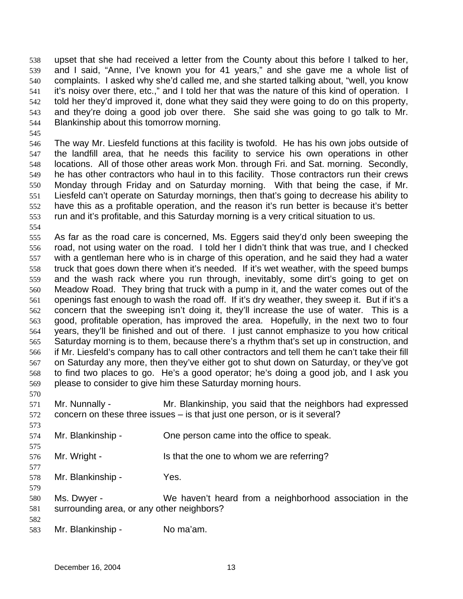upset that she had received a letter from the County about this before I talked to her, and I said, "Anne, I've known you for 41 years," and she gave me a whole list of complaints. I asked why she'd called me, and she started talking about, "well, you know it's noisy over there, etc.," and I told her that was the nature of this kind of operation. I told her they'd improved it, done what they said they were going to do on this property, and they're doing a good job over there. She said she was going to go talk to Mr. Blankinship about this tomorrow morning. 538 539 540 541 542 543 544

545

546 547 548 549 550 551 552 553 The way Mr. Liesfeld functions at this facility is twofold. He has his own jobs outside of the landfill area, that he needs this facility to service his own operations in other locations. All of those other areas work Mon. through Fri. and Sat. morning. Secondly, he has other contractors who haul in to this facility. Those contractors run their crews Monday through Friday and on Saturday morning. With that being the case, if Mr. Liesfeld can't operate on Saturday mornings, then that's going to decrease his ability to have this as a profitable operation, and the reason it's run better is because it's better run and it's profitable, and this Saturday morning is a very critical situation to us.

554

555 556 557 558 559 560 561 562 563 564 565 566 567 568 569 As far as the road care is concerned, Ms. Eggers said they'd only been sweeping the road, not using water on the road. I told her I didn't think that was true, and I checked with a gentleman here who is in charge of this operation, and he said they had a water truck that goes down there when it's needed. If it's wet weather, with the speed bumps and the wash rack where you run through, inevitably, some dirt's going to get on Meadow Road. They bring that truck with a pump in it, and the water comes out of the openings fast enough to wash the road off. If it's dry weather, they sweep it. But if it's a concern that the sweeping isn't doing it, they'll increase the use of water. This is a good, profitable operation, has improved the area. Hopefully, in the next two to four years, they'll be finished and out of there. I just cannot emphasize to you how critical Saturday morning is to them, because there's a rhythm that's set up in construction, and if Mr. Liesfeld's company has to call other contractors and tell them he can't take their fill on Saturday any more, then they've either got to shut down on Saturday, or they've got to find two places to go. He's a good operator; he's doing a good job, and I ask you please to consider to give him these Saturday morning hours.

- 571 572 Mr. Nunnally - Mr. Blankinship, you said that the neighbors had expressed concern on these three issues – is that just one person, or is it several?
- 574 Mr. Blankinship - Che person came into the office to speak.
- 576 Mr. Wright - Is that the one to whom we are referring?
- 578 Mr. Blankinship - Yes.
- 580 581 Ms. Dwyer - We haven't heard from a neighborhood association in the surrounding area, or any other neighbors?
- 582

570

573

575

577

579

583 Mr. Blankinship - No ma'am.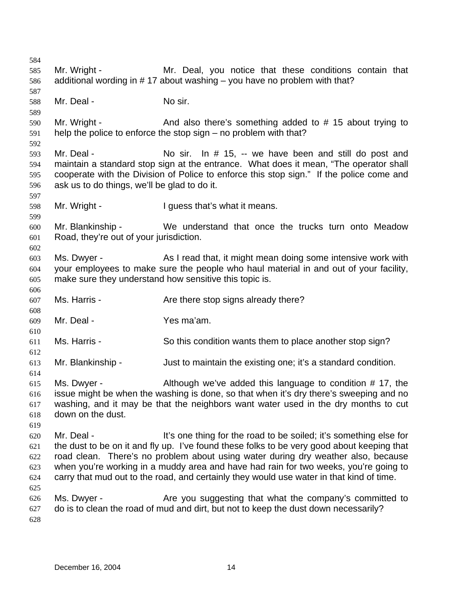584 585 586 587 588 589 590 591 592 593 594 595 596 597 598 599 600 601 602 603 604 605 606 607 608 609 610 611 612 613 614 615 616 617 618 619 620 621 622 623 624 625 626 627 628 Mr. Wright - The Mr. Deal, you notice that these conditions contain that additional wording in # 17 about washing – you have no problem with that? Mr. Deal - No sir. Mr. Wright - And also there's something added to #15 about trying to help the police to enforce the stop sign – no problem with that? Mr. Deal - No sir. In # 15, -- we have been and still do post and maintain a standard stop sign at the entrance. What does it mean, "The operator shall cooperate with the Division of Police to enforce this stop sign." If the police come and ask us to do things, we'll be glad to do it. Mr. Wright - The Multimeans I guess that's what it means. Mr. Blankinship - We understand that once the trucks turn onto Meadow Road, they're out of your jurisdiction. Ms. Dwyer - As I read that, it might mean doing some intensive work with your employees to make sure the people who haul material in and out of your facility, make sure they understand how sensitive this topic is. Ms. Harris - The Are there stop signs already there? Mr. Deal - Yes ma'am. Ms. Harris - So this condition wants them to place another stop sign? Mr. Blankinship - Just to maintain the existing one; it's a standard condition. Ms. Dwyer - Although we've added this language to condition # 17, the issue might be when the washing is done, so that when it's dry there's sweeping and no washing, and it may be that the neighbors want water used in the dry months to cut down on the dust. Mr. Deal - It's one thing for the road to be soiled; it's something else for the dust to be on it and fly up. I've found these folks to be very good about keeping that road clean. There's no problem about using water during dry weather also, because when you're working in a muddy area and have had rain for two weeks, you're going to carry that mud out to the road, and certainly they would use water in that kind of time. Ms. Dwyer - The Are you suggesting that what the company's committed to do is to clean the road of mud and dirt, but not to keep the dust down necessarily?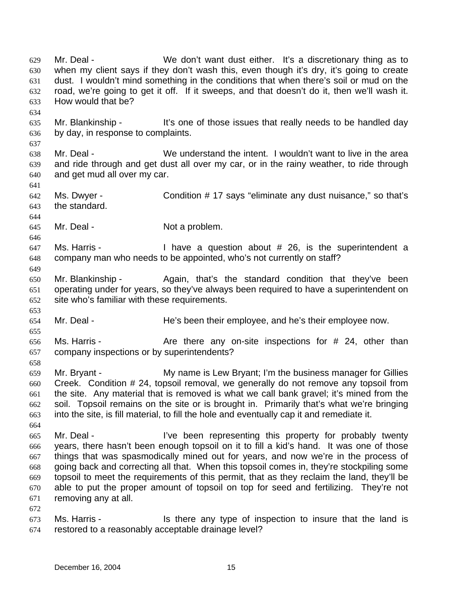Mr. Deal - We don't want dust either. It's a discretionary thing as to when my client says if they don't wash this, even though it's dry, it's going to create dust. I wouldn't mind something in the conditions that when there's soil or mud on the road, we're going to get it off. If it sweeps, and that doesn't do it, then we'll wash it. How would that be? 629 630 631 632 633 634 635 636 637 638 639 640 641 642 643 644 645 646 647 648 649 650 651 652 653 654 655 656 657 658 659 660 661 662 663 664 665 666 667 668 669 670 671 672 673 674 Mr. Blankinship - It's one of those issues that really needs to be handled day by day, in response to complaints. Mr. Deal - We understand the intent. I wouldn't want to live in the area and ride through and get dust all over my car, or in the rainy weather, to ride through and get mud all over my car. Ms. Dwyer - Condition # 17 says "eliminate any dust nuisance," so that's the standard. Mr. Deal - Not a problem. Ms. Harris - I have a question about # 26, is the superintendent a company man who needs to be appointed, who's not currently on staff? Mr. Blankinship - Again, that's the standard condition that they've been operating under for years, so they've always been required to have a superintendent on site who's familiar with these requirements. Mr. Deal - He's been their employee, and he's their employee now. Ms. Harris -  $\blacksquare$  Are there any on-site inspections for  $\#$  24, other than company inspections or by superintendents? Mr. Bryant - My name is Lew Bryant; I'm the business manager for Gillies Creek. Condition # 24, topsoil removal, we generally do not remove any topsoil from the site. Any material that is removed is what we call bank gravel; it's mined from the soil. Topsoil remains on the site or is brought in. Primarily that's what we're bringing into the site, is fill material, to fill the hole and eventually cap it and remediate it. Mr. Deal - I've been representing this property for probably twenty years, there hasn't been enough topsoil on it to fill a kid's hand. It was one of those things that was spasmodically mined out for years, and now we're in the process of going back and correcting all that. When this topsoil comes in, they're stockpiling some topsoil to meet the requirements of this permit, that as they reclaim the land, they'll be able to put the proper amount of topsoil on top for seed and fertilizing. They're not removing any at all. Ms. Harris - Is there any type of inspection to insure that the land is restored to a reasonably acceptable drainage level?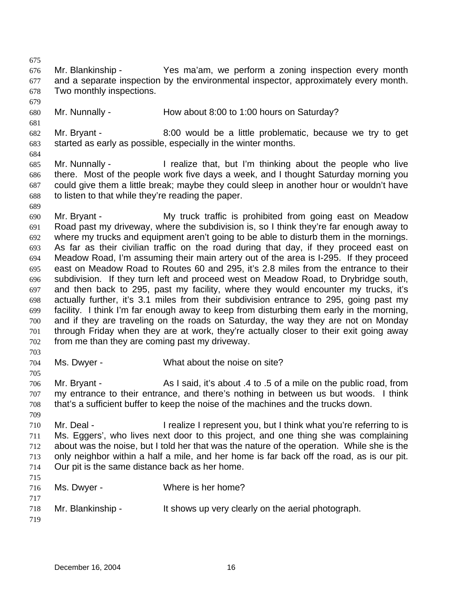675

676 677 678 Mr. Blankinship - The Yes ma'am, we perform a zoning inspection every month and a separate inspection by the environmental inspector, approximately every month. Two monthly inspections.

679

681

- 680 Mr. Nunnally - How about 8:00 to 1:00 hours on Saturday?
- 682 683 Mr. Bryant - 8:00 would be a little problematic, because we try to get started as early as possible, especially in the winter months.
- 684
- 685 686 687 688 Mr. Nunnally - I realize that, but I'm thinking about the people who live there. Most of the people work five days a week, and I thought Saturday morning you could give them a little break; maybe they could sleep in another hour or wouldn't have to listen to that while they're reading the paper.
- 689
- 690 691 692 693 694 695 696 697 698 699 700 701 702 Mr. Bryant - **My truck traffic is prohibited from going east on Meadow** Road past my driveway, where the subdivision is, so I think they're far enough away to where my trucks and equipment aren't going to be able to disturb them in the mornings. As far as their civilian traffic on the road during that day, if they proceed east on Meadow Road, I'm assuming their main artery out of the area is I-295. If they proceed east on Meadow Road to Routes 60 and 295, it's 2.8 miles from the entrance to their subdivision. If they turn left and proceed west on Meadow Road, to Drybridge south, and then back to 295, past my facility, where they would encounter my trucks, it's actually further, it's 3.1 miles from their subdivision entrance to 295, going past my facility. I think I'm far enough away to keep from disturbing them early in the morning, and if they are traveling on the roads on Saturday, the way they are not on Monday through Friday when they are at work, they're actually closer to their exit going away from me than they are coming past my driveway.
- 703

- 704 Ms. Dwyer - What about the noise on site?
- 706 707 708 Mr. Bryant - As I said, it's about .4 to .5 of a mile on the public road, from my entrance to their entrance, and there's nothing in between us but woods. I think that's a sufficient buffer to keep the noise of the machines and the trucks down.
- 709 710 711 712 713 714 715 Mr. Deal - The I realize I represent you, but I think what you're referring to is Ms. Eggers', who lives next door to this project, and one thing she was complaining about was the noise, but I told her that was the nature of the operation. While she is the only neighbor within a half a mile, and her home is far back off the road, as is our pit. Our pit is the same distance back as her home.
- 716 717 718 719 Ms. Dwyer - Where is her home? Mr. Blankinship - The shows up very clearly on the aerial photograph.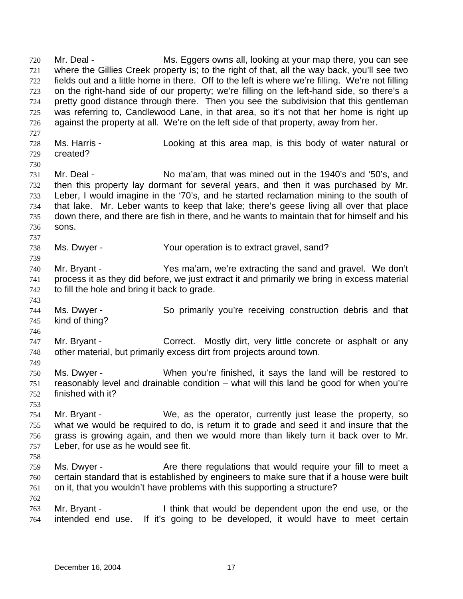Mr. Deal - Ms. Eggers owns all, looking at your map there, you can see where the Gillies Creek property is; to the right of that, all the way back, you'll see two fields out and a little home in there. Off to the left is where we're filling. We're not filling on the right-hand side of our property; we're filling on the left-hand side, so there's a pretty good distance through there. Then you see the subdivision that this gentleman was referring to, Candlewood Lane, in that area, so it's not that her home is right up against the property at all. We're on the left side of that property, away from her. 720 721 722 723 724 725 726 727 728 729 730 731 732 733 734 735 736 737 738 739 740 741 742 743 744 745 746 747 748 749 750 751 752 753 754 755 756 757 758 759 760 761 762 763 764 Ms. Harris - Looking at this area map, is this body of water natural or created? Mr. Deal - No ma'am, that was mined out in the 1940's and '50's, and then this property lay dormant for several years, and then it was purchased by Mr. Leber, I would imagine in the '70's, and he started reclamation mining to the south of that lake. Mr. Leber wants to keep that lake; there's geese living all over that place down there, and there are fish in there, and he wants to maintain that for himself and his sons. Ms. Dwyer - The Your operation is to extract gravel, sand? Mr. Bryant - Yes ma'am, we're extracting the sand and gravel. We don't process it as they did before, we just extract it and primarily we bring in excess material to fill the hole and bring it back to grade. Ms. Dwyer - So primarily you're receiving construction debris and that kind of thing? Mr. Bryant - Correct. Mostly dirt, very little concrete or asphalt or any other material, but primarily excess dirt from projects around town. Ms. Dwyer - When you're finished, it says the land will be restored to reasonably level and drainable condition – what will this land be good for when you're finished with it? Mr. Bryant - We, as the operator, currently just lease the property, so what we would be required to do, is return it to grade and seed it and insure that the grass is growing again, and then we would more than likely turn it back over to Mr. Leber, for use as he would see fit. Ms. Dwyer - The Are there regulations that would require your fill to meet a certain standard that is established by engineers to make sure that if a house were built on it, that you wouldn't have problems with this supporting a structure? Mr. Bryant - Think that would be dependent upon the end use, or the intended end use. If it's going to be developed, it would have to meet certain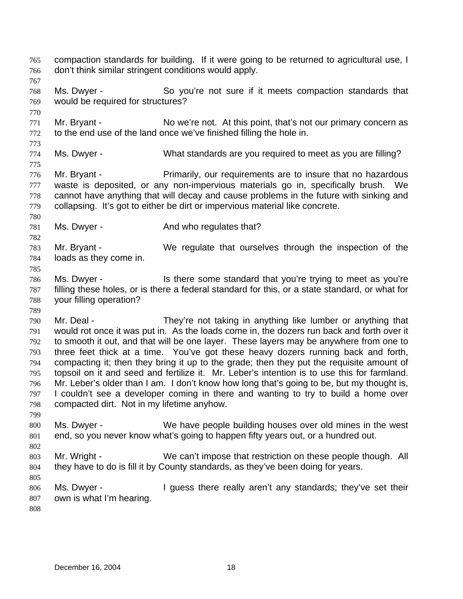compaction standards for building. If it were going to be returned to agricultural use, I don't think similar stringent conditions would apply. 765 766 767 768 769 770 771 772 773 774 775 776 777 778 779 780 781 782 783 784 785 786 787 788 789 790 791 792 793 794 795 796 797 798 799 800 801 802 803 804 805 806 807 808 Ms. Dwyer - So you're not sure if it meets compaction standards that would be required for structures? Mr. Bryant - No we're not. At this point, that's not our primary concern as to the end use of the land once we've finished filling the hole in. Ms. Dwyer - What standards are you required to meet as you are filling? Mr. Bryant - Primarily, our requirements are to insure that no hazardous waste is deposited, or any non-impervious materials go in, specifically brush. We cannot have anything that will decay and cause problems in the future with sinking and collapsing. It's got to either be dirt or impervious material like concrete. Ms. Dwyer - The And who regulates that? Mr. Bryant - We regulate that ourselves through the inspection of the loads as they come in. Ms. Dwyer - Is there some standard that you're trying to meet as you're filling these holes, or is there a federal standard for this, or a state standard, or what for your filling operation? Mr. Deal - They're not taking in anything like lumber or anything that would rot once it was put in. As the loads come in, the dozers run back and forth over it to smooth it out, and that will be one layer. These layers may be anywhere from one to three feet thick at a time. You've got these heavy dozers running back and forth, compacting it; then they bring it up to the grade; then they put the requisite amount of topsoil on it and seed and fertilize it. Mr. Leber's intention is to use this for farmland. Mr. Leber's older than I am. I don't know how long that's going to be, but my thought is, I couldn't see a developer coming in there and wanting to try to build a home over compacted dirt. Not in my lifetime anyhow. Ms. Dwyer - We have people building houses over old mines in the west end, so you never know what's going to happen fifty years out, or a hundred out. Mr. Wright - We can't impose that restriction on these people though. All they have to do is fill it by County standards, as they've been doing for years. Ms. Dwyer - I guess there really aren't any standards; they've set their own is what I'm hearing.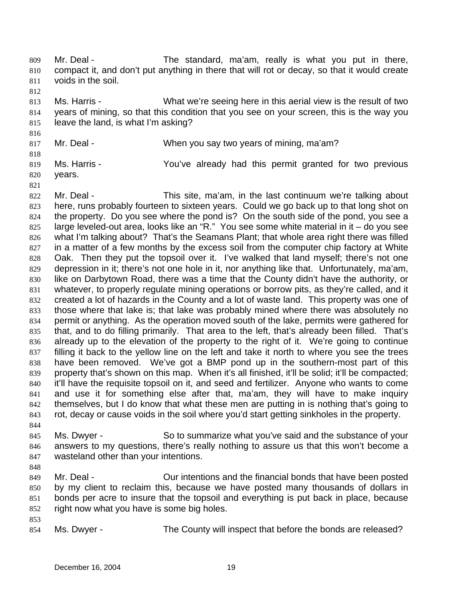Mr. Deal - The standard, ma'am, really is what you put in there, compact it, and don't put anything in there that will rot or decay, so that it would create voids in the soil. 809 810 811

812

813 814 815 Ms. Harris - What we're seeing here in this aerial view is the result of two years of mining, so that this condition that you see on your screen, this is the way you leave the land, is what I'm asking?

- 816
- 817
- Mr. Deal When you say two years of mining, ma'am?
- 818

819 Ms. Harris - The You've already had this permit granted for two previous years.

- 820 821
- 822

823 824 825 826 827 828 829 830 831 832 833 834 835 836 837 838 839 840 841 842 843 Mr. Deal - This site, ma'am, in the last continuum we're talking about here, runs probably fourteen to sixteen years. Could we go back up to that long shot on the property. Do you see where the pond is? On the south side of the pond, you see a large leveled-out area, looks like an "R." You see some white material in it – do you see what I'm talking about? That's the Seamans Plant; that whole area right there was filled in a matter of a few months by the excess soil from the computer chip factory at White Oak. Then they put the topsoil over it. I've walked that land myself; there's not one depression in it; there's not one hole in it, nor anything like that. Unfortunately, ma'am, like on Darbytown Road, there was a time that the County didn't have the authority, or whatever, to properly regulate mining operations or borrow pits, as they're called, and it created a lot of hazards in the County and a lot of waste land. This property was one of those where that lake is; that lake was probably mined where there was absolutely no permit or anything. As the operation moved south of the lake, permits were gathered for that, and to do filling primarily. That area to the left, that's already been filled. That's already up to the elevation of the property to the right of it. We're going to continue filling it back to the yellow line on the left and take it north to where you see the trees have been removed. We've got a BMP pond up in the southern-most part of this property that's shown on this map. When it's all finished, it'll be solid; it'll be compacted; it'll have the requisite topsoil on it, and seed and fertilizer. Anyone who wants to come and use it for something else after that, ma'am, they will have to make inquiry themselves, but I do know that what these men are putting in is nothing that's going to rot, decay or cause voids in the soil where you'd start getting sinkholes in the property.

- 844 845 846 847 Ms. Dwyer - So to summarize what you've said and the substance of your answers to my questions, there's really nothing to assure us that this won't become a wasteland other than your intentions.
- 848

849 850 851 852 Mr. Deal - Our intentions and the financial bonds that have been posted by my client to reclaim this, because we have posted many thousands of dollars in bonds per acre to insure that the topsoil and everything is put back in place, because right now what you have is some big holes.

853

854 Ms. Dwyer - The County will inspect that before the bonds are released?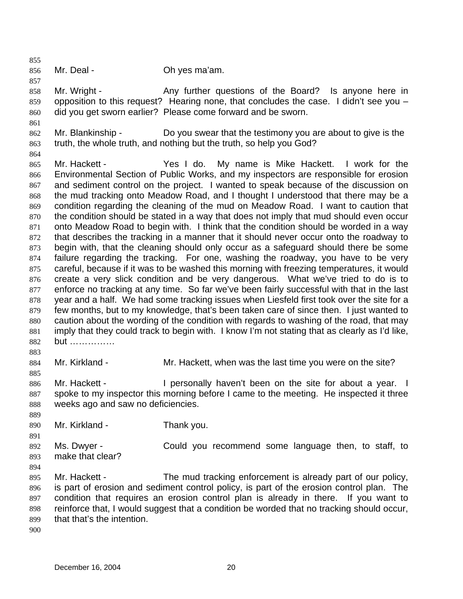855

856 Mr. Deal - Chives ma'am.

857

858

859 860 Mr. Wright - The Any further questions of the Board? Is anyone here in opposition to this request? Hearing none, that concludes the case. I didn't see you – did you get sworn earlier? Please come forward and be sworn.

- 862 863 Mr. Blankinship - Do you swear that the testimony you are about to give is the truth, the whole truth, and nothing but the truth, so help you God?
- 864

861

865 866 867 868 869 870 871 872 873 874 875 876 877 878 879 880 881 882 Mr. Hackett - Yes I do. My name is Mike Hackett. I work for the Environmental Section of Public Works, and my inspectors are responsible for erosion and sediment control on the project. I wanted to speak because of the discussion on the mud tracking onto Meadow Road, and I thought I understood that there may be a condition regarding the cleaning of the mud on Meadow Road. I want to caution that the condition should be stated in a way that does not imply that mud should even occur onto Meadow Road to begin with. I think that the condition should be worded in a way that describes the tracking in a manner that it should never occur onto the roadway to begin with, that the cleaning should only occur as a safeguard should there be some failure regarding the tracking. For one, washing the roadway, you have to be very careful, because if it was to be washed this morning with freezing temperatures, it would create a very slick condition and be very dangerous. What we've tried to do is to enforce no tracking at any time. So far we've been fairly successful with that in the last year and a half. We had some tracking issues when Liesfeld first took over the site for a few months, but to my knowledge, that's been taken care of since then. I just wanted to caution about the wording of the condition with regards to washing of the road, that may imply that they could track to begin with. I know I'm not stating that as clearly as I'd like, but ……………

884 Mr. Kirkland - The Mr. Hackett, when was the last time you were on the site?

886 887 888 Mr. Hackett - The resonally haven't been on the site for about a year. I spoke to my inspector this morning before I came to the meeting. He inspected it three weeks ago and saw no deficiencies.

890 Mr. Kirkland - Thank you.

891 892 893 Ms. Dwyer - Could you recommend some language then, to staff, to make that clear?

894

883

885

889

895 896 897 898 899 Mr. Hackett - The mud tracking enforcement is already part of our policy, is part of erosion and sediment control policy, is part of the erosion control plan. The condition that requires an erosion control plan is already in there. If you want to reinforce that, I would suggest that a condition be worded that no tracking should occur, that that's the intention.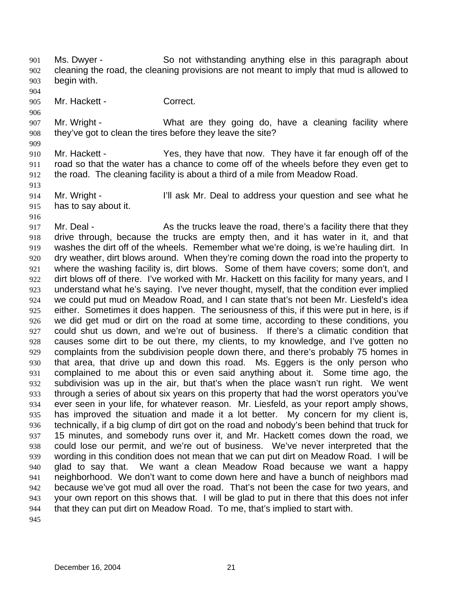Ms. Dwyer - So not withstanding anything else in this paragraph about cleaning the road, the cleaning provisions are not meant to imply that mud is allowed to begin with. 901 902 903

905 Mr. Hackett - Correct.

907 908 Mr. Wright - The Must are they going do, have a cleaning facility where they've got to clean the tires before they leave the site?

909 910 911 912 Mr. Hackett - Yes, they have that now. They have it far enough off of the road so that the water has a chance to come off of the wheels before they even get to the road. The cleaning facility is about a third of a mile from Meadow Road.

- 914 915 Mr. Wright - I'll ask Mr. Deal to address your question and see what he has to say about it.
- 916

913

904

906

917 918 919 920 921 922 923 924 925 926 927 928 929 930 931 932 933 934 935 936 937 938 939 940 941 942 943 944 945 Mr. Deal - As the trucks leave the road, there's a facility there that they drive through, because the trucks are empty then, and it has water in it, and that washes the dirt off of the wheels. Remember what we're doing, is we're hauling dirt. In dry weather, dirt blows around. When they're coming down the road into the property to where the washing facility is, dirt blows. Some of them have covers; some don't, and dirt blows off of there. I've worked with Mr. Hackett on this facility for many years, and I understand what he's saying. I've never thought, myself, that the condition ever implied we could put mud on Meadow Road, and I can state that's not been Mr. Liesfeld's idea either. Sometimes it does happen. The seriousness of this, if this were put in here, is if we did get mud or dirt on the road at some time, according to these conditions, you could shut us down, and we're out of business. If there's a climatic condition that causes some dirt to be out there, my clients, to my knowledge, and I've gotten no complaints from the subdivision people down there, and there's probably 75 homes in that area, that drive up and down this road. Ms. Eggers is the only person who complained to me about this or even said anything about it. Some time ago, the subdivision was up in the air, but that's when the place wasn't run right. We went through a series of about six years on this property that had the worst operators you've ever seen in your life, for whatever reason. Mr. Liesfeld, as your report amply shows, has improved the situation and made it a lot better. My concern for my client is, technically, if a big clump of dirt got on the road and nobody's been behind that truck for 15 minutes, and somebody runs over it, and Mr. Hackett comes down the road, we could lose our permit, and we're out of business. We've never interpreted that the wording in this condition does not mean that we can put dirt on Meadow Road. I will be glad to say that. We want a clean Meadow Road because we want a happy neighborhood. We don't want to come down here and have a bunch of neighbors mad because we've got mud all over the road. That's not been the case for two years, and your own report on this shows that. I will be glad to put in there that this does not infer that they can put dirt on Meadow Road. To me, that's implied to start with.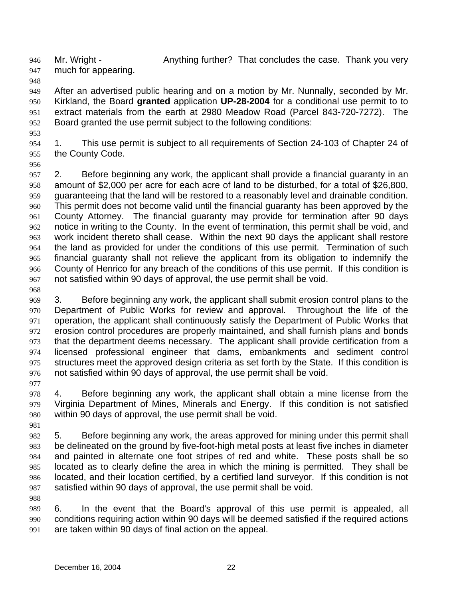946

much for appearing.

Mr. Wright - Anything further? That concludes the case. Thank you very

947 948

949 950 951 952 After an advertised public hearing and on a motion by Mr. Nunnally, seconded by Mr. Kirkland, the Board **granted** application **UP-28-2004** for a conditional use permit to to extract materials from the earth at 2980 Meadow Road (Parcel 843-720-7272). The Board granted the use permit subject to the following conditions:

953

954 955 1. This use permit is subject to all requirements of Section 24-103 of Chapter 24 of the County Code.

956

957 958 959 960 961 962 963 964 965 966 967 2. Before beginning any work, the applicant shall provide a financial guaranty in an amount of \$2,000 per acre for each acre of land to be disturbed, for a total of \$26,800, guaranteeing that the land will be restored to a reasonably level and drainable condition. This permit does not become valid until the financial guaranty has been approved by the County Attorney. The financial guaranty may provide for termination after 90 days notice in writing to the County. In the event of termination, this permit shall be void, and work incident thereto shall cease. Within the next 90 days the applicant shall restore the land as provided for under the conditions of this use permit. Termination of such financial guaranty shall not relieve the applicant from its obligation to indemnify the County of Henrico for any breach of the conditions of this use permit. If this condition is not satisfied within 90 days of approval, the use permit shall be void.

968

988

969 970 971 972 973 974 975 976 977 3. Before beginning any work, the applicant shall submit erosion control plans to the Department of Public Works for review and approval. Throughout the life of the operation, the applicant shall continuously satisfy the Department of Public Works that erosion control procedures are properly maintained, and shall furnish plans and bonds that the department deems necessary. The applicant shall provide certification from a licensed professional engineer that dams, embankments and sediment control structures meet the approved design criteria as set forth by the State. If this condition is not satisfied within 90 days of approval, the use permit shall be void.

978 979 980 4. Before beginning any work, the applicant shall obtain a mine license from the Virginia Department of Mines, Minerals and Energy. If this condition is not satisfied within 90 days of approval, the use permit shall be void.

981 982 983 984 985 986 987 5. Before beginning any work, the areas approved for mining under this permit shall be delineated on the ground by five-foot-high metal posts at least five inches in diameter and painted in alternate one foot stripes of red and white. These posts shall be so located as to clearly define the area in which the mining is permitted. They shall be located, and their location certified, by a certified land surveyor. If this condition is not satisfied within 90 days of approval, the use permit shall be void.

989 990 991 6. In the event that the Board's approval of this use permit is appealed, all conditions requiring action within 90 days will be deemed satisfied if the required actions are taken within 90 days of final action on the appeal.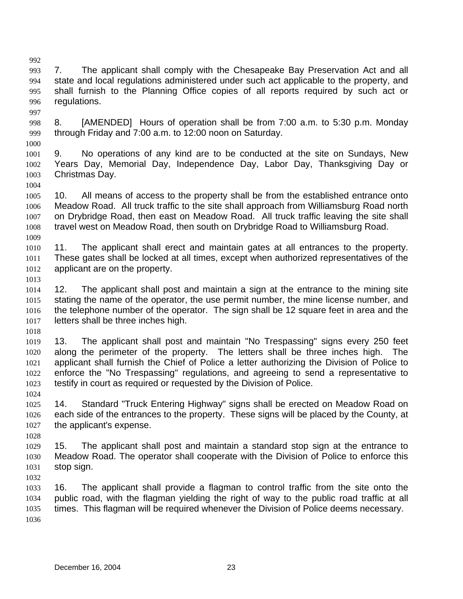992 993 994 995 996 997 7. The applicant shall comply with the Chesapeake Bay Preservation Act and all state and local regulations administered under such act applicable to the property, and shall furnish to the Planning Office copies of all reports required by such act or regulations.

- 998 999 8. [AMENDED] Hours of operation shall be from 7:00 a.m. to 5:30 p.m. Monday through Friday and 7:00 a.m. to 12:00 noon on Saturday.
- 1001 1002 1003 9. No operations of any kind are to be conducted at the site on Sundays, New Years Day, Memorial Day, Independence Day, Labor Day, Thanksgiving Day or Christmas Day.
- 1005 1006 1007 1008 1009 10. All means of access to the property shall be from the established entrance onto Meadow Road. All truck traffic to the site shall approach from Williamsburg Road north on Drybridge Road, then east on Meadow Road. All truck traffic leaving the site shall travel west on Meadow Road, then south on Drybridge Road to Williamsburg Road.
- 1010 1011 1012 11. The applicant shall erect and maintain gates at all entrances to the property. These gates shall be locked at all times, except when authorized representatives of the applicant are on the property.
- 1013

1000

1004

- 1014 1015 1016 1017 12. The applicant shall post and maintain a sign at the entrance to the mining site stating the name of the operator, the use permit number, the mine license number, and the telephone number of the operator. The sign shall be 12 square feet in area and the letters shall be three inches high.
- 1018

1028

- 1019 1020 1021 1022 1023 1024 13. The applicant shall post and maintain "No Trespassing" signs every 250 feet along the perimeter of the property. The letters shall be three inches high. The applicant shall furnish the Chief of Police a letter authorizing the Division of Police to enforce the "No Trespassing" regulations, and agreeing to send a representative to testify in court as required or requested by the Division of Police.
- 1025 1026 1027 14. Standard "Truck Entering Highway" signs shall be erected on Meadow Road on each side of the entrances to the property. These signs will be placed by the County, at the applicant's expense.
- 1029 1030 1031 15. The applicant shall post and maintain a standard stop sign at the entrance to Meadow Road. The operator shall cooperate with the Division of Police to enforce this stop sign.
- 1033 1034 1035 1036 16. The applicant shall provide a flagman to control traffic from the site onto the public road, with the flagman yielding the right of way to the public road traffic at all times. This flagman will be required whenever the Division of Police deems necessary.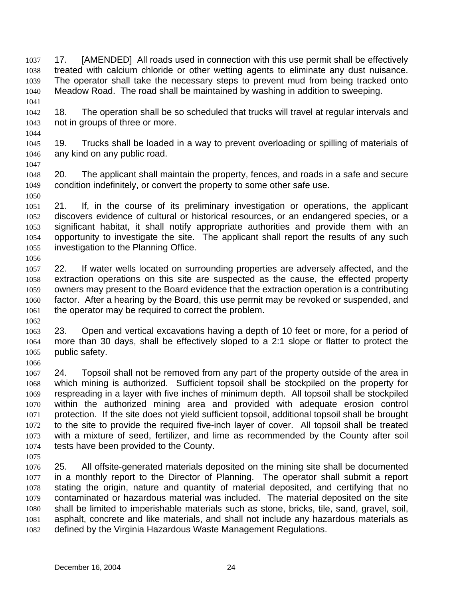17. [AMENDED] All roads used in connection with this use permit shall be effectively treated with calcium chloride or other wetting agents to eliminate any dust nuisance. The operator shall take the necessary steps to prevent mud from being tracked onto Meadow Road. The road shall be maintained by washing in addition to sweeping. 1037 1038 1039 1040 1041

- 1042 1043 18. The operation shall be so scheduled that trucks will travel at regular intervals and not in groups of three or more.
- 1045 1046 19. Trucks shall be loaded in a way to prevent overloading or spilling of materials of any kind on any public road.
- 1047

1044

- 1048 1049 1050 20. The applicant shall maintain the property, fences, and roads in a safe and secure condition indefinitely, or convert the property to some other safe use.
- 1051 1052 1053 1054 1055 1056 21. If, in the course of its preliminary investigation or operations, the applicant discovers evidence of cultural or historical resources, or an endangered species, or a significant habitat, it shall notify appropriate authorities and provide them with an opportunity to investigate the site. The applicant shall report the results of any such investigation to the Planning Office.
- 1057 1058 1059 1060 1061 22. If water wells located on surrounding properties are adversely affected, and the extraction operations on this site are suspected as the cause, the effected property owners may present to the Board evidence that the extraction operation is a contributing factor. After a hearing by the Board, this use permit may be revoked or suspended, and the operator may be required to correct the problem.
- 1063 1064 1065 1066 23. Open and vertical excavations having a depth of 10 feet or more, for a period of more than 30 days, shall be effectively sloped to a 2:1 slope or flatter to protect the public safety.
- 1067 1068 1069 1070 1071 1072 1073 1074 24. Topsoil shall not be removed from any part of the property outside of the area in which mining is authorized. Sufficient topsoil shall be stockpiled on the property for respreading in a layer with five inches of minimum depth. All topsoil shall be stockpiled within the authorized mining area and provided with adequate erosion control protection. If the site does not yield sufficient topsoil, additional topsoil shall be brought to the site to provide the required five-inch layer of cover. All topsoil shall be treated with a mixture of seed, fertilizer, and lime as recommended by the County after soil tests have been provided to the County.
- 1075

1062

1076 1077 1078 1079 1080 1081 1082 25. All offsite-generated materials deposited on the mining site shall be documented in a monthly report to the Director of Planning. The operator shall submit a report stating the origin, nature and quantity of material deposited, and certifying that no contaminated or hazardous material was included. The material deposited on the site shall be limited to imperishable materials such as stone, bricks, tile, sand, gravel, soil, asphalt, concrete and like materials, and shall not include any hazardous materials as defined by the Virginia Hazardous Waste Management Regulations.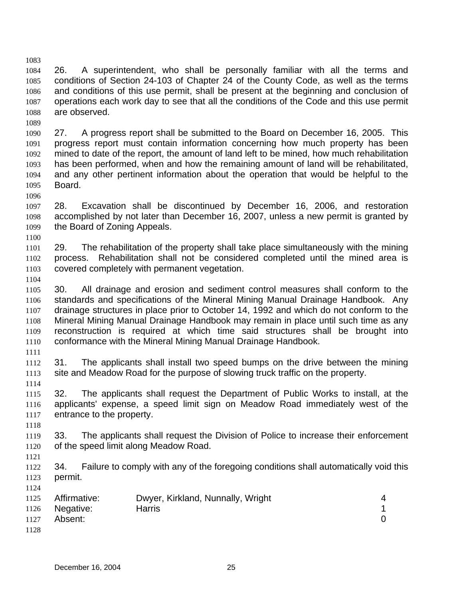1083 1084 1085 1086 1087 1088 26. A superintendent, who shall be personally familiar with all the terms and conditions of Section 24-103 of Chapter 24 of the County Code, as well as the terms and conditions of this use permit, shall be present at the beginning and conclusion of operations each work day to see that all the conditions of the Code and this use permit are observed.

1090 1091 1092 1093 1094 1095 27. A progress report shall be submitted to the Board on December 16, 2005. This progress report must contain information concerning how much property has been mined to date of the report, the amount of land left to be mined, how much rehabilitation has been performed, when and how the remaining amount of land will be rehabilitated, and any other pertinent information about the operation that would be helpful to the Board.

1097 1098 1099 28. Excavation shall be discontinued by December 16, 2006, and restoration accomplished by not later than December 16, 2007, unless a new permit is granted by the Board of Zoning Appeals.

1101 1102 1103 29. The rehabilitation of the property shall take place simultaneously with the mining process. Rehabilitation shall not be considered completed until the mined area is covered completely with permanent vegetation.

1104

1100

1089

1096

1105 1106 1107 1108 1109 1110 30. All drainage and erosion and sediment control measures shall conform to the standards and specifications of the Mineral Mining Manual Drainage Handbook. Any drainage structures in place prior to October 14, 1992 and which do not conform to the Mineral Mining Manual Drainage Handbook may remain in place until such time as any reconstruction is required at which time said structures shall be brought into conformance with the Mineral Mining Manual Drainage Handbook.

1111

1118

1121

1124

1112 1113 1114 31. The applicants shall install two speed bumps on the drive between the mining site and Meadow Road for the purpose of slowing truck traffic on the property.

1115 1116 1117 32. The applicants shall request the Department of Public Works to install, at the applicants' expense, a speed limit sign on Meadow Road immediately west of the entrance to the property.

1119 1120 33. The applicants shall request the Division of Police to increase their enforcement of the speed limit along Meadow Road.

1122 1123 34. Failure to comply with any of the foregoing conditions shall automatically void this permit.

| 1125 | Affirmative:   | Dwyer, Kirkland, Nunnally, Wright |  |
|------|----------------|-----------------------------------|--|
|      | 1126 Negative: | <b>Harris</b>                     |  |
| 1127 | Absent:        |                                   |  |
| 1128 |                |                                   |  |

December 16, 2004 25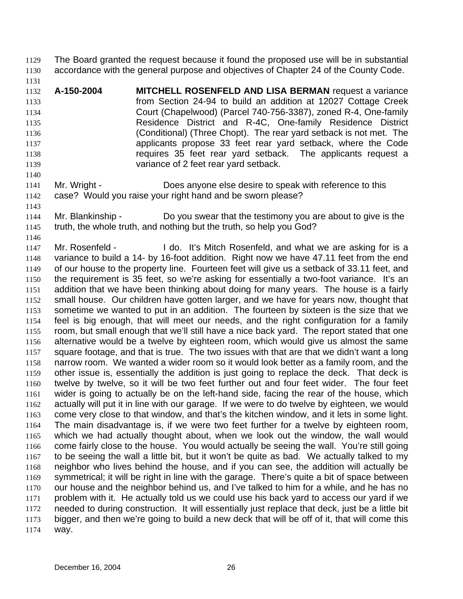The Board granted the request because it found the proposed use will be in substantial accordance with the general purpose and objectives of Chapter 24 of the County Code. 1129 1130

1131

1132 1133 1134 1135 1136 1137 1138 1139 **A-150-2004 MITCHELL ROSENFELD AND LISA BERMAN** request a variance from Section 24-94 to build an addition at 12027 Cottage Creek Court (Chapelwood) (Parcel 740-756-3387), zoned R-4, One-family Residence District and R-4C, One-family Residence District (Conditional) (Three Chopt). The rear yard setback is not met. The applicants propose 33 feet rear yard setback, where the Code requires 35 feet rear yard setback. The applicants request a variance of 2 feet rear yard setback.

- 1141 1142 Mr. Wright - Does anyone else desire to speak with reference to this case? Would you raise your right hand and be sworn please?
- 1143

- 1144 1145 Mr. Blankinship - Do you swear that the testimony you are about to give is the truth, the whole truth, and nothing but the truth, so help you God?
- 1146 1147 1148 1149 1150 1151 1152 1153 1154 1155 1156 1157 1158 1159 1160 1161 1162 1163 1164 1165 1166 1167 1168 1169 1170 1171 1172 1173 1174 Mr. Rosenfeld - I do. It's Mitch Rosenfeld, and what we are asking for is a variance to build a 14- by 16-foot addition. Right now we have 47.11 feet from the end of our house to the property line. Fourteen feet will give us a setback of 33.11 feet, and the requirement is 35 feet, so we're asking for essentially a two-foot variance. It's an addition that we have been thinking about doing for many years. The house is a fairly small house. Our children have gotten larger, and we have for years now, thought that sometime we wanted to put in an addition. The fourteen by sixteen is the size that we feel is big enough, that will meet our needs, and the right configuration for a family room, but small enough that we'll still have a nice back yard. The report stated that one alternative would be a twelve by eighteen room, which would give us almost the same square footage, and that is true. The two issues with that are that we didn't want a long narrow room. We wanted a wider room so it would look better as a family room, and the other issue is, essentially the addition is just going to replace the deck. That deck is twelve by twelve, so it will be two feet further out and four feet wider. The four feet wider is going to actually be on the left-hand side, facing the rear of the house, which actually will put it in line with our garage. If we were to do twelve by eighteen, we would come very close to that window, and that's the kitchen window, and it lets in some light. The main disadvantage is, if we were two feet further for a twelve by eighteen room, which we had actually thought about, when we look out the window, the wall would come fairly close to the house. You would actually be seeing the wall. You're still going to be seeing the wall a little bit, but it won't be quite as bad. We actually talked to my neighbor who lives behind the house, and if you can see, the addition will actually be symmetrical; it will be right in line with the garage. There's quite a bit of space between our house and the neighbor behind us, and I've talked to him for a while, and he has no problem with it. He actually told us we could use his back yard to access our yard if we needed to during construction. It will essentially just replace that deck, just be a little bit bigger, and then we're going to build a new deck that will be off of it, that will come this way.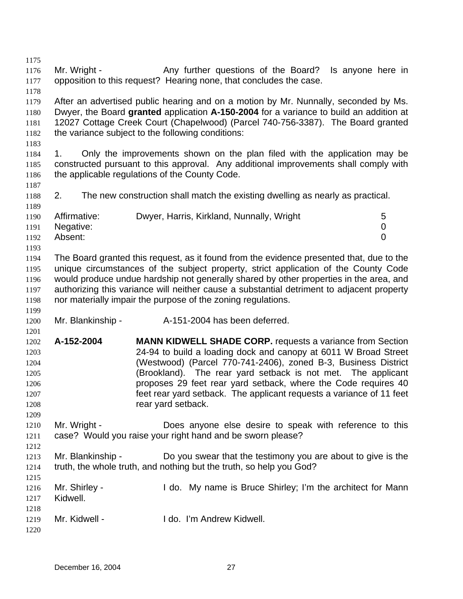1175 1176 1177 1178 1179 1180 1181 1182 1183 1184 1185 1186 1187 1188 1189 1190 1191 1192 1193 1194 1195 1196 1197 1198 1199 1200 1201 1202 1203 1204 1205 1206 1207 1208 1209 1210 1211 1212 1213 1214 1215 1216 1217 1218 1219 1220 Mr. Wright - Any further questions of the Board? Is anyone here in opposition to this request? Hearing none, that concludes the case. After an advertised public hearing and on a motion by Mr. Nunnally, seconded by Ms. Dwyer, the Board **granted** application **A-150-2004** for a variance to build an addition at 12027 Cottage Creek Court (Chapelwood) (Parcel 740-756-3387). The Board granted the variance subject to the following conditions: 1. Only the improvements shown on the plan filed with the application may be constructed pursuant to this approval. Any additional improvements shall comply with the applicable regulations of the County Code. 2. The new construction shall match the existing dwelling as nearly as practical. Affirmative: Dwyer, Harris, Kirkland, Nunnally, Wright 5 Negative: 0 Absent: 0 The Board granted this request, as it found from the evidence presented that, due to the unique circumstances of the subject property, strict application of the County Code would produce undue hardship not generally shared by other properties in the area, and authorizing this variance will neither cause a substantial detriment to adjacent property nor materially impair the purpose of the zoning regulations. Mr. Blankinship - A-151-2004 has been deferred. **A-152-2004 MANN KIDWELL SHADE CORP.** requests a variance from Section 24-94 to build a loading dock and canopy at 6011 W Broad Street (Westwood) (Parcel 770-741-2406), zoned B-3, Business District (Brookland). The rear yard setback is not met. The applicant proposes 29 feet rear yard setback, where the Code requires 40 feet rear yard setback. The applicant requests a variance of 11 feet rear yard setback. Mr. Wright - Does anyone else desire to speak with reference to this case? Would you raise your right hand and be sworn please? Mr. Blankinship - Do you swear that the testimony you are about to give is the truth, the whole truth, and nothing but the truth, so help you God? Mr. Shirley - The Mull do. My name is Bruce Shirley; I'm the architect for Mann Kidwell. Mr. Kidwell - **I do. I'm Andrew Kidwell.**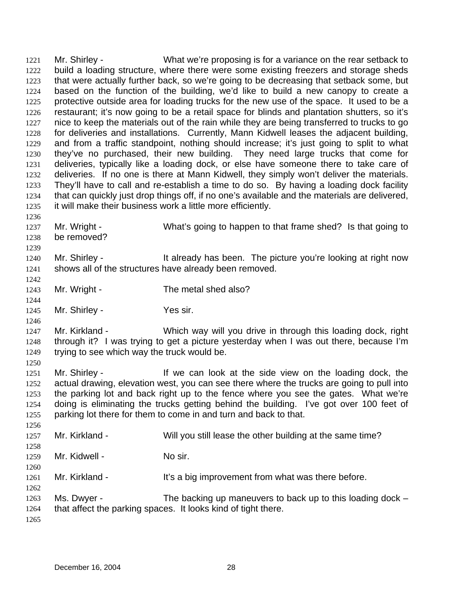Mr. Shirley - What we're proposing is for a variance on the rear setback to build a loading structure, where there were some existing freezers and storage sheds that were actually further back, so we're going to be decreasing that setback some, but based on the function of the building, we'd like to build a new canopy to create a protective outside area for loading trucks for the new use of the space. It used to be a restaurant; it's now going to be a retail space for blinds and plantation shutters, so it's nice to keep the materials out of the rain while they are being transferred to trucks to go for deliveries and installations. Currently, Mann Kidwell leases the adjacent building, and from a traffic standpoint, nothing should increase; it's just going to split to what they've no purchased, their new building. They need large trucks that come for deliveries, typically like a loading dock, or else have someone there to take care of deliveries. If no one is there at Mann Kidwell, they simply won't deliver the materials. They'll have to call and re-establish a time to do so. By having a loading dock facility that can quickly just drop things off, if no one's available and the materials are delivered, it will make their business work a little more efficiently. 1221 1222 1223 1224 1225 1226 1227 1228 1229 1230 1231 1232 1233 1234 1235 1236 1237 1238 1239 1240 1241 1242 1243 1244 1245 1246 1247 1248 1249 1250 1251 1252 1253 1254 1255 1256 1257 1258 1259 1260 1261 1262 1263 1264 Mr. Wright - What's going to happen to that frame shed? Is that going to be removed? Mr. Shirley - It already has been. The picture you're looking at right now shows all of the structures have already been removed. Mr. Wright - The metal shed also? Mr. Shirley - Yes sir. Mr. Kirkland - Which way will you drive in through this loading dock, right through it? I was trying to get a picture yesterday when I was out there, because I'm trying to see which way the truck would be. Mr. Shirley - The State of the can look at the side view on the loading dock, the actual drawing, elevation west, you can see there where the trucks are going to pull into the parking lot and back right up to the fence where you see the gates. What we're doing is eliminating the trucks getting behind the building. I've got over 100 feet of parking lot there for them to come in and turn and back to that. Mr. Kirkland - Will you still lease the other building at the same time? Mr. Kidwell - No sir. Mr. Kirkland - It's a big improvement from what was there before. Ms. Dwyer - The backing up maneuvers to back up to this loading dock – that affect the parking spaces. It looks kind of tight there.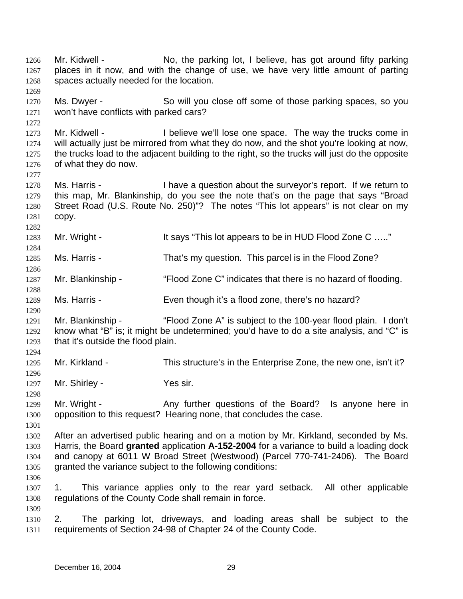Mr. Kidwell - No, the parking lot, I believe, has got around fifty parking places in it now, and with the change of use, we have very little amount of parting spaces actually needed for the location. 1266 1267 1268 1269 1270 1271 1272 1273 1274 1275 1276 1277 1278 1279 1280 1281 1282 1283 1284 1285 1286 1287 1288 1289 1290 1291 1292 1293 1294 1295 1296 1297 1298 1299 1300 1301 1302 1303 1304 1305 1306 1307 1308 1309 1310 1311 Ms. Dwyer - So will you close off some of those parking spaces, so you won't have conflicts with parked cars? Mr. Kidwell - I believe we'll lose one space. The way the trucks come in will actually just be mirrored from what they do now, and the shot you're looking at now, the trucks load to the adjacent building to the right, so the trucks will just do the opposite of what they do now. Ms. Harris - I have a question about the surveyor's report. If we return to this map, Mr. Blankinship, do you see the note that's on the page that says "Broad Street Road (U.S. Route No. 250)"? The notes "This lot appears" is not clear on my copy. Mr. Wright - It says "This lot appears to be in HUD Flood Zone C ....." Ms. Harris - That's my question. This parcel is in the Flood Zone? Mr. Blankinship - "Flood Zone C" indicates that there is no hazard of flooding. Ms. Harris - Even though it's a flood zone, there's no hazard? Mr. Blankinship - ""Flood Zone A" is subject to the 100-year flood plain. I don't know what "B" is; it might be undetermined; you'd have to do a site analysis, and "C" is that it's outside the flood plain. Mr. Kirkland - This structure's in the Enterprise Zone, the new one, isn't it? Mr. Shirley - Yes sir. Mr. Wright - Any further questions of the Board? Is anyone here in opposition to this request? Hearing none, that concludes the case. After an advertised public hearing and on a motion by Mr. Kirkland, seconded by Ms. Harris, the Board **granted** application **A-152-2004** for a variance to build a loading dock and canopy at 6011 W Broad Street (Westwood) (Parcel 770-741-2406). The Board granted the variance subject to the following conditions: 1. This variance applies only to the rear yard setback. All other applicable regulations of the County Code shall remain in force. 2. The parking lot, driveways, and loading areas shall be subject to the requirements of Section 24-98 of Chapter 24 of the County Code.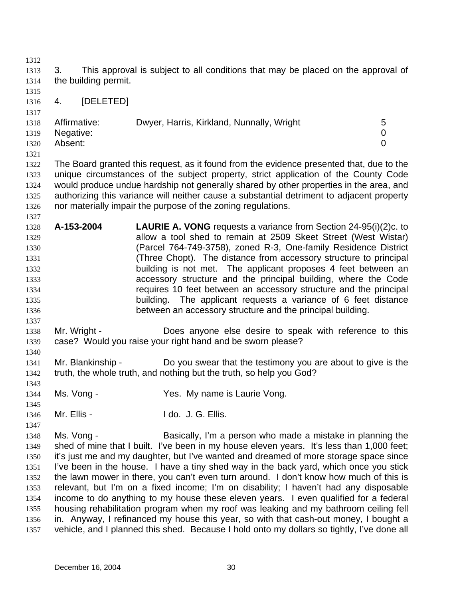1312 1313 1314 1315 1316 1317 1318 1319 1320 1321 1322 1323 1324 1325 1326 1327 1328 1329 1330 1331 1332 1333 1334 1335 1336 1337 1338 1339 1340 1341 1342 1343 1344 1345 1346 1347 1348 1349 1350 1351 1352 1353 1354 1355 1356 1357 3. This approval is subject to all conditions that may be placed on the approval of the building permit. 4. [DELETED] Affirmative: Dwyer, Harris, Kirkland, Nunnally, Wright 5 Negative: 0 Absent: 0 The Board granted this request, as it found from the evidence presented that, due to the unique circumstances of the subject property, strict application of the County Code would produce undue hardship not generally shared by other properties in the area, and authorizing this variance will neither cause a substantial detriment to adjacent property nor materially impair the purpose of the zoning regulations. **A-153-2004 LAURIE A. VONG** requests a variance from Section 24-95(i)(2)c. to allow a tool shed to remain at 2509 Skeet Street (West Wistar) (Parcel 764-749-3758), zoned R-3, One-family Residence District (Three Chopt). The distance from accessory structure to principal building is not met. The applicant proposes 4 feet between an accessory structure and the principal building, where the Code requires 10 feet between an accessory structure and the principal building. The applicant requests a variance of 6 feet distance between an accessory structure and the principal building. Mr. Wright - Does anyone else desire to speak with reference to this case? Would you raise your right hand and be sworn please? Mr. Blankinship - Do you swear that the testimony you are about to give is the truth, the whole truth, and nothing but the truth, so help you God? Ms. Vong - The Mes. My name is Laurie Vong. Mr. Ellis - The Music Hotel of Allis. Ms. Vong - **Basically, I'm a person who made a mistake in planning the** shed of mine that I built. I've been in my house eleven years. It's less than 1,000 feet; it's just me and my daughter, but I've wanted and dreamed of more storage space since I've been in the house. I have a tiny shed way in the back yard, which once you stick the lawn mower in there, you can't even turn around. I don't know how much of this is relevant, but I'm on a fixed income; I'm on disability; I haven't had any disposable income to do anything to my house these eleven years. I even qualified for a federal housing rehabilitation program when my roof was leaking and my bathroom ceiling fell in. Anyway, I refinanced my house this year, so with that cash-out money, I bought a vehicle, and I planned this shed. Because I hold onto my dollars so tightly, I've done all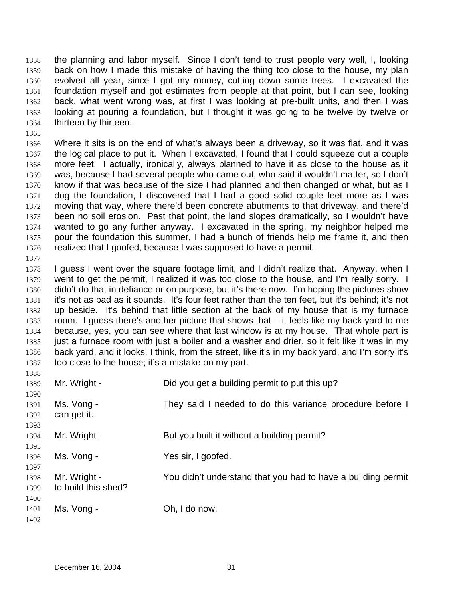the planning and labor myself. Since I don't tend to trust people very well, I, looking back on how I made this mistake of having the thing too close to the house, my plan evolved all year, since I got my money, cutting down some trees. I excavated the foundation myself and got estimates from people at that point, but I can see, looking back, what went wrong was, at first I was looking at pre-built units, and then I was looking at pouring a foundation, but I thought it was going to be twelve by twelve or thirteen by thirteen. 1358 1359 1360 1361 1362 1363 1364

1366 1367 1368 1369 1370 1371 1372 1373 1374 1375 1376 Where it sits is on the end of what's always been a driveway, so it was flat, and it was the logical place to put it. When I excavated, I found that I could squeeze out a couple more feet. I actually, ironically, always planned to have it as close to the house as it was, because I had several people who came out, who said it wouldn't matter, so I don't know if that was because of the size I had planned and then changed or what, but as I dug the foundation, I discovered that I had a good solid couple feet more as I was moving that way, where there'd been concrete abutments to that driveway, and there'd been no soil erosion. Past that point, the land slopes dramatically, so I wouldn't have wanted to go any further anyway. I excavated in the spring, my neighbor helped me pour the foundation this summer, I had a bunch of friends help me frame it, and then realized that I goofed, because I was supposed to have a permit.

1377

1365

1378 1379 1380 1381 1382 1383 1384 1385 1386 1387 I guess I went over the square footage limit, and I didn't realize that. Anyway, when I went to get the permit, I realized it was too close to the house, and I'm really sorry. I didn't do that in defiance or on purpose, but it's there now. I'm hoping the pictures show it's not as bad as it sounds. It's four feet rather than the ten feet, but it's behind; it's not up beside. It's behind that little section at the back of my house that is my furnace room. I guess there's another picture that shows that – it feels like my back yard to me because, yes, you can see where that last window is at my house. That whole part is just a furnace room with just a boiler and a washer and drier, so it felt like it was in my back yard, and it looks, I think, from the street, like it's in my back yard, and I'm sorry it's too close to the house; it's a mistake on my part.

| 1388 |                     |                                                              |
|------|---------------------|--------------------------------------------------------------|
| 1389 | Mr. Wright -        | Did you get a building permit to put this up?                |
| 1390 |                     |                                                              |
| 1391 | Ms. Vong -          | They said I needed to do this variance procedure before I    |
| 1392 | can get it.         |                                                              |
| 1393 |                     |                                                              |
| 1394 | Mr. Wright -        | But you built it without a building permit?                  |
| 1395 |                     |                                                              |
| 1396 | Ms. Vong -          | Yes sir, I goofed.                                           |
| 1397 |                     |                                                              |
| 1398 | Mr. Wright -        | You didn't understand that you had to have a building permit |
| 1399 | to build this shed? |                                                              |
| 1400 |                     |                                                              |
| 1401 | Ms. Vong -          | Oh, I do now.                                                |
| 1402 |                     |                                                              |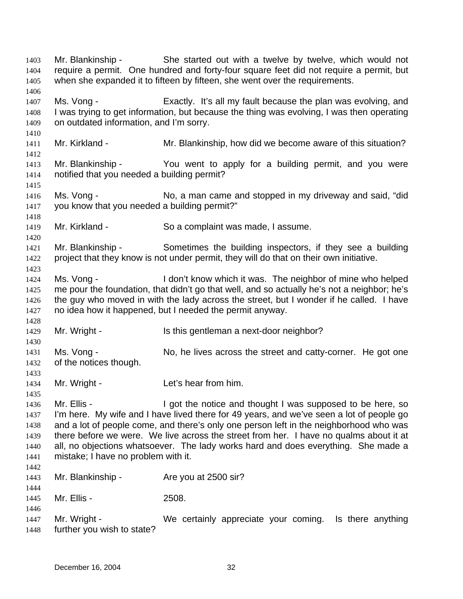Mr. Blankinship - She started out with a twelve by twelve, which would not require a permit. One hundred and forty-four square feet did not require a permit, but when she expanded it to fifteen by fifteen, she went over the requirements. 1403 1404 1405 1406 1407 1408 1409 1410 1411 1412 1413 1414 1415 1416 1417 1418 1419 1420 1421 1422 1423 1424 1425 1426 1427 1428 1429 1430 1431 1432 1433 1434 1435 1436 1437 1438 1439 1440 1441 1442 1443 1444 1445 1446 1447 1448 Ms. Vong - Exactly. It's all my fault because the plan was evolving, and I was trying to get information, but because the thing was evolving, I was then operating on outdated information, and I'm sorry. Mr. Kirkland - The Mr. Blankinship, how did we become aware of this situation? Mr. Blankinship - You went to apply for a building permit, and you were notified that you needed a building permit? Ms. Vong - No, a man came and stopped in my driveway and said, "did you know that you needed a building permit?" Mr. Kirkland - So a complaint was made, I assume. Mr. Blankinship - Sometimes the building inspectors, if they see a building project that they know is not under permit, they will do that on their own initiative. Ms. Vong - I don't know which it was. The neighbor of mine who helped me pour the foundation, that didn't go that well, and so actually he's not a neighbor; he's the guy who moved in with the lady across the street, but I wonder if he called. I have no idea how it happened, but I needed the permit anyway. Mr. Wright - Is this gentleman a next-door neighbor? Ms. Vong - No, he lives across the street and catty-corner. He got one of the notices though. Mr. Wright - The Let's hear from him. Mr. Ellis - I got the notice and thought I was supposed to be here, so I'm here. My wife and I have lived there for 49 years, and we've seen a lot of people go and a lot of people come, and there's only one person left in the neighborhood who was there before we were. We live across the street from her. I have no qualms about it at all, no objections whatsoever. The lady works hard and does everything. She made a mistake; I have no problem with it. Mr. Blankinship - Are you at 2500 sir? Mr. Ellis - 2508. Mr. Wright - We certainly appreciate your coming. Is there anything further you wish to state?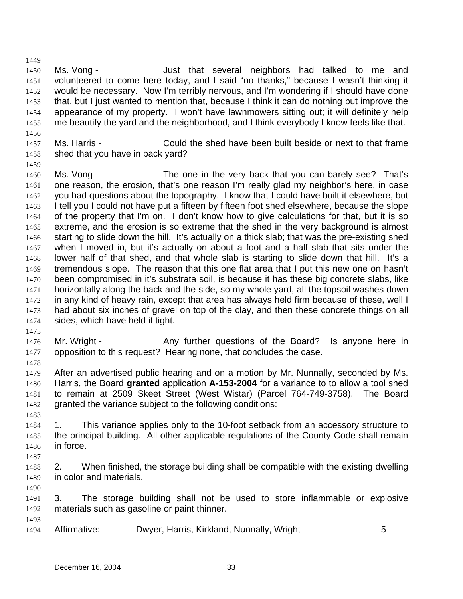1449 1450 1451 1452 1453 1454 1455 Ms. Vong - The Solution of that several neighbors had talked to me and volunteered to come here today, and I said "no thanks," because I wasn't thinking it would be necessary. Now I'm terribly nervous, and I'm wondering if I should have done that, but I just wanted to mention that, because I think it can do nothing but improve the appearance of my property. I won't have lawnmowers sitting out; it will definitely help me beautify the yard and the neighborhood, and I think everybody I know feels like that.

- 1456
- 1457 1458 Ms. Harris - Could the shed have been built beside or next to that frame shed that you have in back yard?
- 1459
- 1460 1461 1462 1463 1464 1465 1466 1467 1468 1469 1470 1471 1472 1473 1474 Ms. Vong - The one in the very back that you can barely see? That's one reason, the erosion, that's one reason I'm really glad my neighbor's here, in case you had questions about the topography. I know that I could have built it elsewhere, but I tell you I could not have put a fifteen by fifteen foot shed elsewhere, because the slope of the property that I'm on. I don't know how to give calculations for that, but it is so extreme, and the erosion is so extreme that the shed in the very background is almost starting to slide down the hill. It's actually on a thick slab; that was the pre-existing shed when I moved in, but it's actually on about a foot and a half slab that sits under the lower half of that shed, and that whole slab is starting to slide down that hill. It's a tremendous slope. The reason that this one flat area that I put this new one on hasn't been compromised in it's substrata soil, is because it has these big concrete slabs, like horizontally along the back and the side, so my whole yard, all the topsoil washes down in any kind of heavy rain, except that area has always held firm because of these, well I had about six inches of gravel on top of the clay, and then these concrete things on all sides, which have held it tight.
- 1475
- 1476 1477 Mr. Wright - Any further questions of the Board? Is anyone here in opposition to this request? Hearing none, that concludes the case.
- 1478
- 1479 1480 1481 1482 After an advertised public hearing and on a motion by Mr. Nunnally, seconded by Ms. Harris, the Board **granted** application **A-153-2004** for a variance to to allow a tool shed to remain at 2509 Skeet Street (West Wistar) (Parcel 764-749-3758). The Board granted the variance subject to the following conditions:
- 1483
- 1484 1485 1486 1. This variance applies only to the 10-foot setback from an accessory structure to the principal building. All other applicable regulations of the County Code shall remain in force.
- 1487
- 1488 1489 2. When finished, the storage building shall be compatible with the existing dwelling in color and materials.
- 1490
- 1491 1492 1493 3. The storage building shall not be used to store inflammable or explosive materials such as gasoline or paint thinner.
- 1494 Affirmative: Dwyer, Harris, Kirkland, Nunnally, Wright 5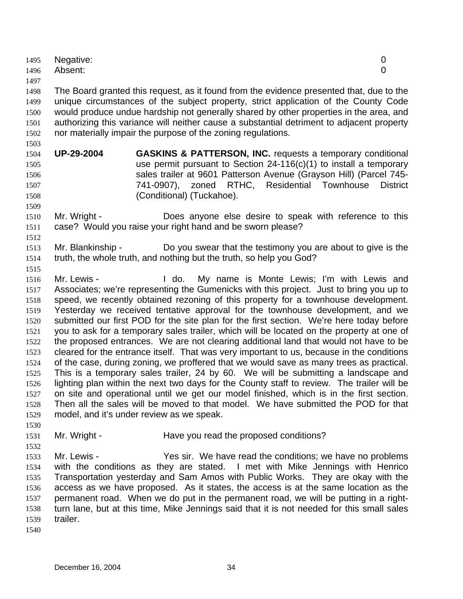|      | 1495 Negative:<br>1496 Absent: |  |
|------|--------------------------------|--|
| 1497 |                                |  |

1498 1499 1500 1501 1502 The Board granted this request, as it found from the evidence presented that, due to the unique circumstances of the subject property, strict application of the County Code would produce undue hardship not generally shared by other properties in the area, and authorizing this variance will neither cause a substantial detriment to adjacent property nor materially impair the purpose of the zoning regulations.

- 1504 1505 1506 1507 1508 **UP-29-2004 GASKINS & PATTERSON, INC.** requests a temporary conditional use permit pursuant to Section 24-116(c)(1) to install a temporary sales trailer at 9601 Patterson Avenue (Grayson Hill) (Parcel 745- 741-0907), zoned RTHC, Residential Townhouse District (Conditional) (Tuckahoe).
- 1510 1511 Mr. Wright - **Does anyone else desire to speak with reference to this** case? Would you raise your right hand and be sworn please?
- 1513 1514 Mr. Blankinship - Do you swear that the testimony you are about to give is the truth, the whole truth, and nothing but the truth, so help you God?
- 1515

1503

1509

1512

1516 1517 1518 1519 1520 1521 1522 1523 1524 1525 1526 1527 1528 1529 Mr. Lewis - The Mull do. My name is Monte Lewis; I'm with Lewis and Associates; we're representing the Gumenicks with this project. Just to bring you up to speed, we recently obtained rezoning of this property for a townhouse development. Yesterday we received tentative approval for the townhouse development, and we submitted our first POD for the site plan for the first section. We're here today before you to ask for a temporary sales trailer, which will be located on the property at one of the proposed entrances. We are not clearing additional land that would not have to be cleared for the entrance itself. That was very important to us, because in the conditions of the case, during zoning, we proffered that we would save as many trees as practical. This is a temporary sales trailer, 24 by 60. We will be submitting a landscape and lighting plan within the next two days for the County staff to review. The trailer will be on site and operational until we get our model finished, which is in the first section. Then all the sales will be moved to that model. We have submitted the POD for that model, and it's under review as we speak.

- 1531 Mr. Wright - The Have you read the proposed conditions?
- 1532 1533 1534 1535 1536 1537 1538 1539 Mr. Lewis - Yes sir. We have read the conditions; we have no problems with the conditions as they are stated. I met with Mike Jennings with Henrico Transportation yesterday and Sam Amos with Public Works. They are okay with the access as we have proposed. As it states, the access is at the same location as the permanent road. When we do put in the permanent road, we will be putting in a rightturn lane, but at this time, Mike Jennings said that it is not needed for this small sales trailer.
- 1540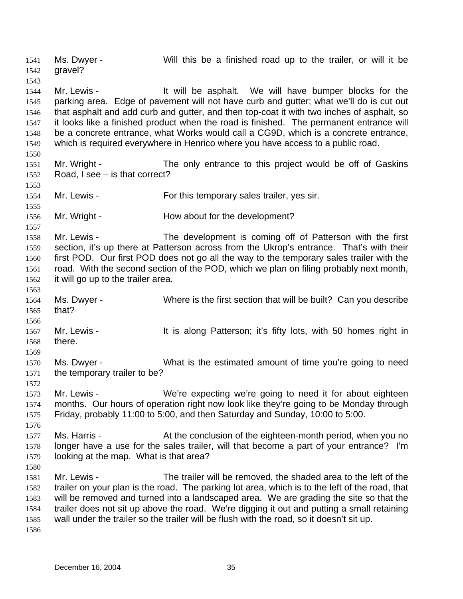Ms. Dwyer - Will this be a finished road up to the trailer, or will it be gravel? 1541 1542 1543 1544 1545 1546 1547 1548 1549 1550 1551 1552 1553 1554 1555 1556 1557 1558 1559 1560 1561 1562 1563 1564 1565 1566 1567 1568 1569 1570 1571 1572 1573 1574 1575 1576 1577 1578 1579 1580 1581 1582 1583 1584 1585 1586 Mr. Lewis - The Music of the asphalt. We will have bumper blocks for the parking area. Edge of pavement will not have curb and gutter; what we'll do is cut out that asphalt and add curb and gutter, and then top-coat it with two inches of asphalt, so it looks like a finished product when the road is finished. The permanent entrance will be a concrete entrance, what Works would call a CG9D, which is a concrete entrance, which is required everywhere in Henrico where you have access to a public road. Mr. Wright - The only entrance to this project would be off of Gaskins Road, I see – is that correct? Mr. Lewis - For this temporary sales trailer, yes sir. Mr. Wright - **How about for the development?** Mr. Lewis - The development is coming off of Patterson with the first section, it's up there at Patterson across from the Ukrop's entrance. That's with their first POD. Our first POD does not go all the way to the temporary sales trailer with the road. With the second section of the POD, which we plan on filing probably next month, it will go up to the trailer area. Ms. Dwyer - Where is the first section that will be built? Can you describe that? Mr. Lewis - It is along Patterson; it's fifty lots, with 50 homes right in there. Ms. Dwyer - What is the estimated amount of time you're going to need the temporary trailer to be? Mr. Lewis - We're expecting we're going to need it for about eighteen months. Our hours of operation right now look like they're going to be Monday through Friday, probably 11:00 to 5:00, and then Saturday and Sunday, 10:00 to 5:00. Ms. Harris - At the conclusion of the eighteen-month period, when you no longer have a use for the sales trailer, will that become a part of your entrance? I'm looking at the map. What is that area? Mr. Lewis - The trailer will be removed, the shaded area to the left of the trailer on your plan is the road. The parking lot area, which is to the left of the road, that will be removed and turned into a landscaped area. We are grading the site so that the trailer does not sit up above the road. We're digging it out and putting a small retaining wall under the trailer so the trailer will be flush with the road, so it doesn't sit up.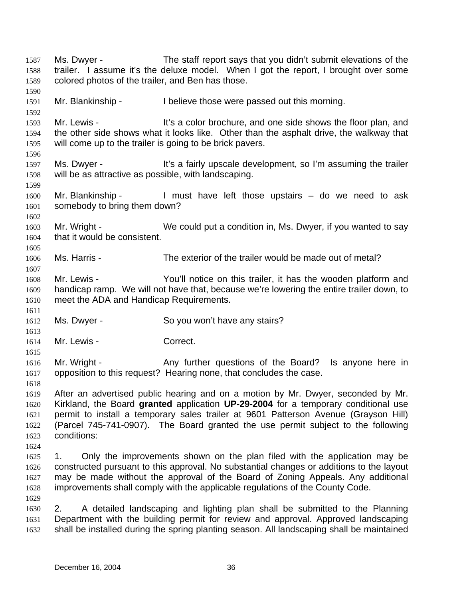Ms. Dwyer - The staff report says that you didn't submit elevations of the trailer. I assume it's the deluxe model. When I got the report, I brought over some colored photos of the trailer, and Ben has those. 1587 1588 1589 1590 1591 1592 1593 1594 1595 1596 1597 1598 1599 1600 1601 1602 1603 1604 1605 1606 1607 1608 1609 1610 1611 1612 1613 1614 1615 1616 1617 1618 1619 1620 1621 1622 1623 1624 1625 1626 1627 1628 1629 1630 1631 1632 Mr. Blankinship - I believe those were passed out this morning. Mr. Lewis - It's a color brochure, and one side shows the floor plan, and the other side shows what it looks like. Other than the asphalt drive, the walkway that will come up to the trailer is going to be brick pavers. Ms. Dwyer - It's a fairly upscale development, so I'm assuming the trailer will be as attractive as possible, with landscaping. Mr. Blankinship - I must have left those upstairs – do we need to ask somebody to bring them down? Mr. Wright - We could put a condition in, Ms. Dwyer, if you wanted to say that it would be consistent. Ms. Harris - The exterior of the trailer would be made out of metal? Mr. Lewis - The You'll notice on this trailer, it has the wooden platform and handicap ramp. We will not have that, because we're lowering the entire trailer down, to meet the ADA and Handicap Requirements. Ms. Dwyer - So you won't have any stairs? Mr. Lewis - Correct. Mr. Wright - Any further questions of the Board? Is anyone here in opposition to this request? Hearing none, that concludes the case. After an advertised public hearing and on a motion by Mr. Dwyer, seconded by Mr. Kirkland, the Board **granted** application **UP-29-2004** for a temporary conditional use permit to install a temporary sales trailer at 9601 Patterson Avenue (Grayson Hill) (Parcel 745-741-0907). The Board granted the use permit subject to the following conditions: 1. Only the improvements shown on the plan filed with the application may be constructed pursuant to this approval. No substantial changes or additions to the layout may be made without the approval of the Board of Zoning Appeals. Any additional improvements shall comply with the applicable regulations of the County Code. 2. A detailed landscaping and lighting plan shall be submitted to the Planning Department with the building permit for review and approval. Approved landscaping shall be installed during the spring planting season. All landscaping shall be maintained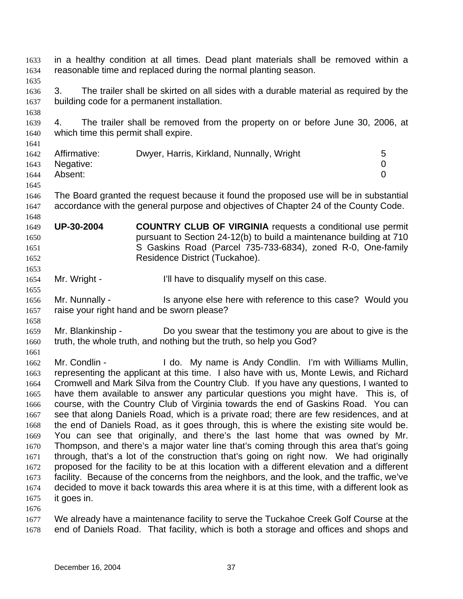in a healthy condition at all times. Dead plant materials shall be removed within a reasonable time and replaced during the normal planting season. 1633 1634 1635 1636 1637 1638 1639 1640 1641 1642 1643 1644 1645 1646 1647 1648 1649 1650 1651 1652 1653 1654 1655 1656 1657 1658 1659 1660 1661 1662 1663 1664 1665 1666 1667 1668 1669 1670 1671 1672 1673 1674 1675 1676 1677 1678 3. The trailer shall be skirted on all sides with a durable material as required by the building code for a permanent installation. 4. The trailer shall be removed from the property on or before June 30, 2006, at which time this permit shall expire. Affirmative: Dwyer, Harris, Kirkland, Nunnally, Wright 5 Negative: 0 Absent: 0 The Board granted the request because it found the proposed use will be in substantial accordance with the general purpose and objectives of Chapter 24 of the County Code. **UP-30-2004 COUNTRY CLUB OF VIRGINIA** requests a conditional use permit pursuant to Section 24-12(b) to build a maintenance building at 710 S Gaskins Road (Parcel 735-733-6834), zoned R-0, One-family Residence District (Tuckahoe). Mr. Wright - The I'll have to disqualify myself on this case. Mr. Nunnally - Is anyone else here with reference to this case? Would you raise your right hand and be sworn please? Mr. Blankinship - Do you swear that the testimony you are about to give is the truth, the whole truth, and nothing but the truth, so help you God? Mr. Condlin - The Lide. My name is Andy Condlin. I'm with Williams Mullin, representing the applicant at this time. I also have with us, Monte Lewis, and Richard Cromwell and Mark Silva from the Country Club. If you have any questions, I wanted to have them available to answer any particular questions you might have. This is, of course, with the Country Club of Virginia towards the end of Gaskins Road. You can see that along Daniels Road, which is a private road; there are few residences, and at the end of Daniels Road, as it goes through, this is where the existing site would be. You can see that originally, and there's the last home that was owned by Mr. Thompson, and there's a major water line that's coming through this area that's going through, that's a lot of the construction that's going on right now. We had originally proposed for the facility to be at this location with a different elevation and a different facility. Because of the concerns from the neighbors, and the look, and the traffic, we've decided to move it back towards this area where it is at this time, with a different look as it goes in. We already have a maintenance facility to serve the Tuckahoe Creek Golf Course at the end of Daniels Road. That facility, which is both a storage and offices and shops and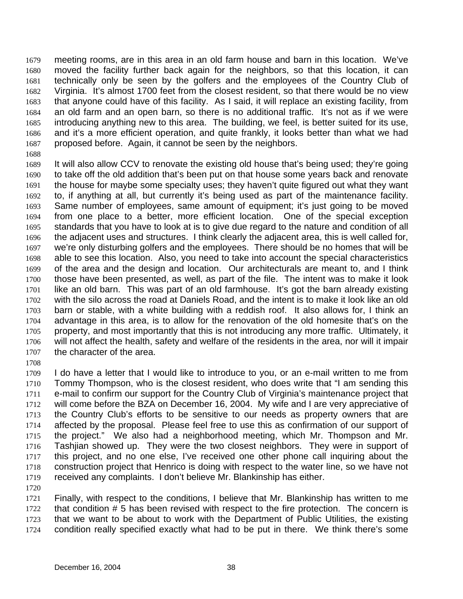meeting rooms, are in this area in an old farm house and barn in this location. We've moved the facility further back again for the neighbors, so that this location, it can technically only be seen by the golfers and the employees of the Country Club of Virginia. It's almost 1700 feet from the closest resident, so that there would be no view that anyone could have of this facility. As I said, it will replace an existing facility, from an old farm and an open barn, so there is no additional traffic. It's not as if we were introducing anything new to this area. The building, we feel, is better suited for its use, and it's a more efficient operation, and quite frankly, it looks better than what we had proposed before. Again, it cannot be seen by the neighbors. 1679 1680 1681 1682 1683 1684 1685 1686 1687

1688

1689 1690 1691 1692 1693 1694 1695 1696 1697 1698 1699 1700 1701 1702 1703 1704 1705 1706 1707 It will also allow CCV to renovate the existing old house that's being used; they're going to take off the old addition that's been put on that house some years back and renovate the house for maybe some specialty uses; they haven't quite figured out what they want to, if anything at all, but currently it's being used as part of the maintenance facility. Same number of employees, same amount of equipment; it's just going to be moved from one place to a better, more efficient location. One of the special exception standards that you have to look at is to give due regard to the nature and condition of all the adjacent uses and structures. I think clearly the adjacent area, this is well called for, we're only disturbing golfers and the employees. There should be no homes that will be able to see this location. Also, you need to take into account the special characteristics of the area and the design and location. Our architecturals are meant to, and I think those have been presented, as well, as part of the file. The intent was to make it look like an old barn. This was part of an old farmhouse. It's got the barn already existing with the silo across the road at Daniels Road, and the intent is to make it look like an old barn or stable, with a white building with a reddish roof. It also allows for, I think an advantage in this area, is to allow for the renovation of the old homesite that's on the property, and most importantly that this is not introducing any more traffic. Ultimately, it will not affect the health, safety and welfare of the residents in the area, nor will it impair the character of the area.

1708

1709 1710 1711 1712 1713 1714 1715 1716 1717 1718 1719 I do have a letter that I would like to introduce to you, or an e-mail written to me from Tommy Thompson, who is the closest resident, who does write that "I am sending this e-mail to confirm our support for the Country Club of Virginia's maintenance project that will come before the BZA on December 16, 2004. My wife and I are very appreciative of the Country Club's efforts to be sensitive to our needs as property owners that are affected by the proposal. Please feel free to use this as confirmation of our support of the project." We also had a neighborhood meeting, which Mr. Thompson and Mr. Tashjian showed up. They were the two closest neighbors. They were in support of this project, and no one else, I've received one other phone call inquiring about the construction project that Henrico is doing with respect to the water line, so we have not received any complaints. I don't believe Mr. Blankinship has either.

1720

1721 1722 1723 1724 Finally, with respect to the conditions, I believe that Mr. Blankinship has written to me that condition # 5 has been revised with respect to the fire protection. The concern is that we want to be about to work with the Department of Public Utilities, the existing condition really specified exactly what had to be put in there. We think there's some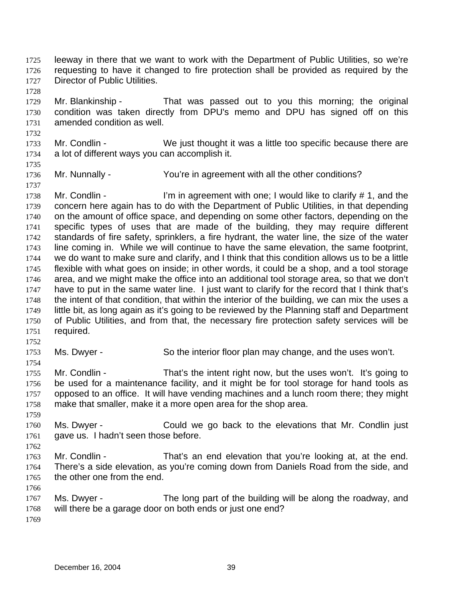leeway in there that we want to work with the Department of Public Utilities, so we're requesting to have it changed to fire protection shall be provided as required by the Director of Public Utilities. 1725 1726 1727

1729 1730 1731 Mr. Blankinship - That was passed out to you this morning; the original condition was taken directly from DPU's memo and DPU has signed off on this amended condition as well.

1733 1734 Mr. Condlin - We just thought it was a little too specific because there are a lot of different ways you can accomplish it.

1735

1737

1732

1728

1736 Mr. Nunnally - You're in agreement with all the other conditions?

1738 1739 1740 1741 1742 1743 1744 1745 1746 1747 1748 1749 1750 1751 Mr. Condlin - I'm in agreement with one; I would like to clarify  $\# 1$ , and the concern here again has to do with the Department of Public Utilities, in that depending on the amount of office space, and depending on some other factors, depending on the specific types of uses that are made of the building, they may require different standards of fire safety, sprinklers, a fire hydrant, the water line, the size of the water line coming in. While we will continue to have the same elevation, the same footprint, we do want to make sure and clarify, and I think that this condition allows us to be a little flexible with what goes on inside; in other words, it could be a shop, and a tool storage area, and we might make the office into an additional tool storage area, so that we don't have to put in the same water line. I just want to clarify for the record that I think that's the intent of that condition, that within the interior of the building, we can mix the uses a little bit, as long again as it's going to be reviewed by the Planning staff and Department of Public Utilities, and from that, the necessary fire protection safety services will be required.

1753 Ms. Dwyer - So the interior floor plan may change, and the uses won't.

1754 1755 1756 1757 1758 Mr. Condlin - That's the intent right now, but the uses won't. It's going to be used for a maintenance facility, and it might be for tool storage for hand tools as opposed to an office. It will have vending machines and a lunch room there; they might make that smaller, make it a more open area for the shop area.

1759

1752

1760 1761 1762 Ms. Dwyer - Could we go back to the elevations that Mr. Condlin just gave us. I hadn't seen those before.

1763 1764 1765 Mr. Condlin - That's an end elevation that you're looking at, at the end. There's a side elevation, as you're coming down from Daniels Road from the side, and the other one from the end.

1766

1767 1768 1769 Ms. Dwyer - The long part of the building will be along the roadway, and will there be a garage door on both ends or just one end?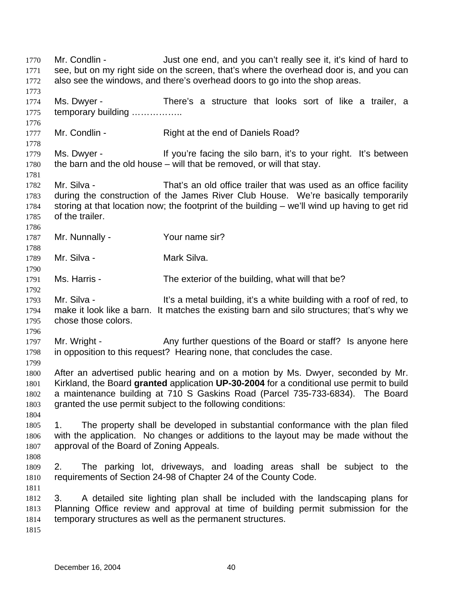Mr. Condlin - Just one end, and you can't really see it, it's kind of hard to see, but on my right side on the screen, that's where the overhead door is, and you can also see the windows, and there's overhead doors to go into the shop areas. 1770 1771 1772 1773 1774 1775 1776 1777 1778 1779 1780 1781 1782 1783 1784 1785 1786 1787 1788 1789 1790 1791 1792 1793 1794 1795 1796 1797 1798 1799 1800 1801 1802 1803 1804 1805 1806 1807 1808 1809 1810 1811 1812 1813 1814 1815 Ms. Dwyer - There's a structure that looks sort of like a trailer, a temporary building …………….. Mr. Condlin - Right at the end of Daniels Road? Ms. Dwyer - If you're facing the silo barn, it's to your right. It's between the barn and the old house – will that be removed, or will that stay. Mr. Silva - That's an old office trailer that was used as an office facility during the construction of the James River Club House. We're basically temporarily storing at that location now; the footprint of the building – we'll wind up having to get rid of the trailer. Mr. Nunnally - Your name sir? Mr. Silva - **Mark Silva** Ms. Harris - The exterior of the building, what will that be? Mr. Silva - It's a metal building, it's a white building with a roof of red, to make it look like a barn. It matches the existing barn and silo structures; that's why we chose those colors. Mr. Wright - Any further questions of the Board or staff? Is anyone here in opposition to this request? Hearing none, that concludes the case. After an advertised public hearing and on a motion by Ms. Dwyer, seconded by Mr. Kirkland, the Board **granted** application **UP-30-2004** for a conditional use permit to build a maintenance building at 710 S Gaskins Road (Parcel 735-733-6834). The Board granted the use permit subject to the following conditions: 1. The property shall be developed in substantial conformance with the plan filed with the application. No changes or additions to the layout may be made without the approval of the Board of Zoning Appeals. 2. The parking lot, driveways, and loading areas shall be subject to the requirements of Section 24-98 of Chapter 24 of the County Code. 3. A detailed site lighting plan shall be included with the landscaping plans for Planning Office review and approval at time of building permit submission for the temporary structures as well as the permanent structures.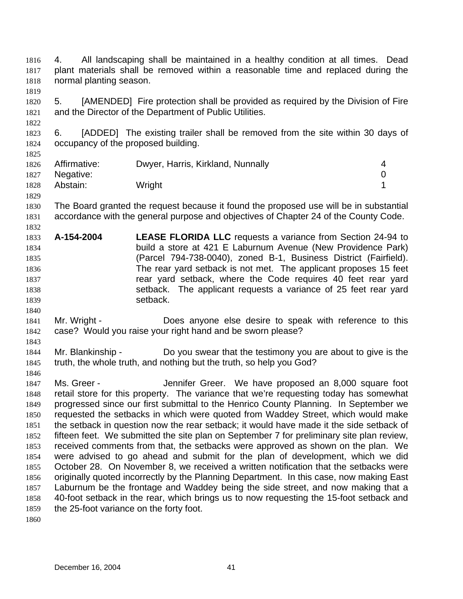4. All landscaping shall be maintained in a healthy condition at all times. Dead plant materials shall be removed within a reasonable time and replaced during the normal planting season. 1816 1817 1818

1820 1821 5. [AMENDED] Fire protection shall be provided as required by the Division of Fire and the Director of the Department of Public Utilities.

1823 1824 1825 6. [ADDED] The existing trailer shall be removed from the site within 30 days of occupancy of the proposed building.

| 1826 | Affirmative: | Dwyer, Harris, Kirkland, Nunnally |  |
|------|--------------|-----------------------------------|--|
| 1827 | Negative:    |                                   |  |
| 1828 | Abstain:     | Wright                            |  |

1830 1831 The Board granted the request because it found the proposed use will be in substantial accordance with the general purpose and objectives of Chapter 24 of the County Code.

- 1833 1834 1835 1836 1837 1838 1839 **A-154-2004 LEASE FLORIDA LLC** requests a variance from Section 24-94 to build a store at 421 E Laburnum Avenue (New Providence Park) (Parcel 794-738-0040), zoned B-1, Business District (Fairfield). The rear yard setback is not met. The applicant proposes 15 feet rear yard setback, where the Code requires 40 feet rear yard setback. The applicant requests a variance of 25 feet rear yard setback.
- 1841 1842 Mr. Wright - **Does anyone else desire to speak with reference to this** case? Would you raise your right hand and be sworn please?
- 1844 1845 Mr. Blankinship - Do you swear that the testimony you are about to give is the truth, the whole truth, and nothing but the truth, so help you God?

1847 1848 1849 1850 1851 1852 1853 1854 1855 1856 1857 1858 1859 Ms. Greer - The Sennifer Greer. We have proposed an 8,000 square foot retail store for this property. The variance that we're requesting today has somewhat progressed since our first submittal to the Henrico County Planning. In September we requested the setbacks in which were quoted from Waddey Street, which would make the setback in question now the rear setback; it would have made it the side setback of fifteen feet. We submitted the site plan on September 7 for preliminary site plan review, received comments from that, the setbacks were approved as shown on the plan. We were advised to go ahead and submit for the plan of development, which we did October 28. On November 8, we received a written notification that the setbacks were originally quoted incorrectly by the Planning Department. In this case, now making East Laburnum be the frontage and Waddey being the side street, and now making that a 40-foot setback in the rear, which brings us to now requesting the 15-foot setback and the 25-foot variance on the forty foot.

1860

1819

1822

1829

1832

1840

1843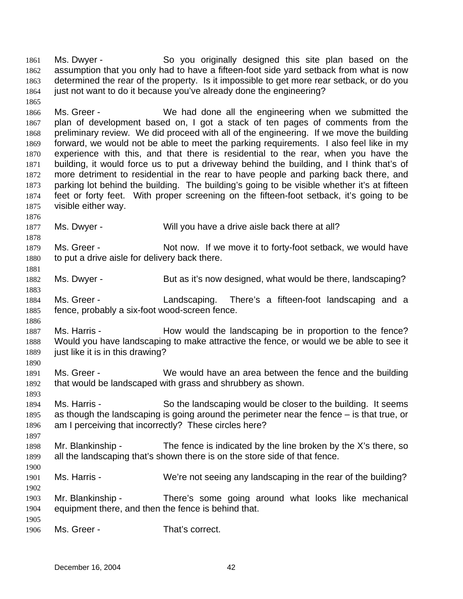Ms. Dwyer - So you originally designed this site plan based on the assumption that you only had to have a fifteen-foot side yard setback from what is now determined the rear of the property. Is it impossible to get more rear setback, or do you just not want to do it because you've already done the engineering? 1861 1862 1863 1864 1865

1866 1867 1868 1869 1870 1871 1872 1873 1874 1875 Ms. Greer - We had done all the engineering when we submitted the plan of development based on, I got a stack of ten pages of comments from the preliminary review. We did proceed with all of the engineering. If we move the building forward, we would not be able to meet the parking requirements. I also feel like in my experience with this, and that there is residential to the rear, when you have the building, it would force us to put a driveway behind the building, and I think that's of more detriment to residential in the rear to have people and parking back there, and parking lot behind the building. The building's going to be visible whether it's at fifteen feet or forty feet. With proper screening on the fifteen-foot setback, it's going to be visible either way.

- 1877 Ms. Dwyer - Will you have a drive aisle back there at all?
- 1879 1880 Ms. Greer - Not now. If we move it to forty-foot setback, we would have to put a drive aisle for delivery back there.
- 1882 Ms. Dwyer - But as it's now designed, what would be there, landscaping?
- 1884 1885 Ms. Greer - Landscaping. There's a fifteen-foot landscaping and a fence, probably a six-foot wood-screen fence.
- 1887 1888 1889 Ms. Harris - The How would the landscaping be in proportion to the fence? Would you have landscaping to make attractive the fence, or would we be able to see it just like it is in this drawing?
- 1891 1892 Ms. Greer - We would have an area between the fence and the building that would be landscaped with grass and shrubbery as shown.
- 1894 1895 1896 Ms. Harris - So the landscaping would be closer to the building. It seems as though the landscaping is going around the perimeter near the fence – is that true, or am I perceiving that incorrectly? These circles here?
- 1898 1899 1900 Mr. Blankinship - The fence is indicated by the line broken by the  $X$ 's there, so all the landscaping that's shown there is on the store side of that fence.
- 1901 Ms. Harris - We're not seeing any landscaping in the rear of the building?
- 1903 1904 1905 Mr. Blankinship - There's some going around what looks like mechanical equipment there, and then the fence is behind that.
- 1906 Ms. Greer - That's correct.

1876

1878

1881

1883

1886

1890

1893

1897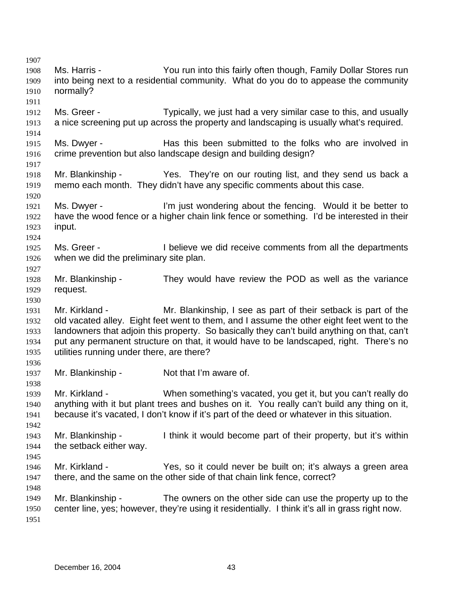1907 1908 1909 1910 1911 1912 1913 1914 1915 1916 1917 1918 1919 1920 1921 1922 1923 1924 1925 1926 1927 1928 1929 1930 1931 1932 1933 1934 1935 1936 1937 1938 1939 1940 1941 1942 1943 1944 1945 1946 1947 1948 1949 1950 1951 Ms. Harris - You run into this fairly often though, Family Dollar Stores run into being next to a residential community. What do you do to appease the community normally? Ms. Greer - Typically, we just had a very similar case to this, and usually a nice screening put up across the property and landscaping is usually what's required. Ms. Dwyer - Has this been submitted to the folks who are involved in crime prevention but also landscape design and building design? Mr. Blankinship - Yes. They're on our routing list, and they send us back a memo each month. They didn't have any specific comments about this case. Ms. Dwyer - I'm just wondering about the fencing. Would it be better to have the wood fence or a higher chain link fence or something. I'd be interested in their input. Ms. Greer - The I believe we did receive comments from all the departments when we did the preliminary site plan. Mr. Blankinship - They would have review the POD as well as the variance request. Mr. Kirkland - Mr. Blankinship, I see as part of their setback is part of the old vacated alley. Eight feet went to them, and I assume the other eight feet went to the landowners that adjoin this property. So basically they can't build anything on that, can't put any permanent structure on that, it would have to be landscaped, right. There's no utilities running under there, are there? Mr. Blankinship - Not that I'm aware of. Mr. Kirkland - When something's vacated, you get it, but you can't really do anything with it but plant trees and bushes on it. You really can't build any thing on it, because it's vacated, I don't know if it's part of the deed or whatever in this situation. Mr. Blankinship - I think it would become part of their property, but it's within the setback either way. Mr. Kirkland - Yes, so it could never be built on; it's always a green area there, and the same on the other side of that chain link fence, correct? Mr. Blankinship - The owners on the other side can use the property up to the center line, yes; however, they're using it residentially. I think it's all in grass right now.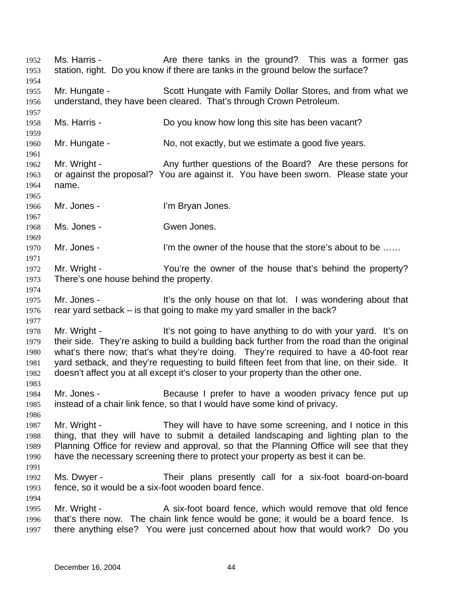Ms. Harris - The Are there tanks in the ground? This was a former gas station, right. Do you know if there are tanks in the ground below the surface? 1952 1953 1954 1955 1956 1957 1958 1959 1960 1961 1962 1963 1964 1965 1966 1967 1968 1969 1970 1971 1972 1973 1974 1975 1976 1977 1978 1979 1980 1981 1982 1983 1984 1985 1986 1987 1988 1989 1990 1991 1992 1993 1994 1995 1996 1997 Mr. Hungate - Scott Hungate with Family Dollar Stores, and from what we understand, they have been cleared. That's through Crown Petroleum. Ms. Harris - Do you know how long this site has been vacant? Mr. Hungate - No, not exactly, but we estimate a good five years. Mr. Wright - Any further questions of the Board? Are these persons for or against the proposal? You are against it. You have been sworn. Please state your name. Mr. Jones - The Terry l'm Bryan Jones. Ms. Jones - Gwen Jones. Mr. Jones - I'm the owner of the house that the store's about to be ...... Mr. Wright - You're the owner of the house that's behind the property? There's one house behind the property. Mr. Jones - It's the only house on that lot. I was wondering about that rear yard setback – is that going to make my yard smaller in the back? Mr. Wright - It's not going to have anything to do with your yard. It's on their side. They're asking to build a building back further from the road than the original what's there now; that's what they're doing. They're required to have a 40-foot rear yard setback, and they're requesting to build fifteen feet from that line, on their side. It doesn't affect you at all except it's closer to your property than the other one. Mr. Jones - Because I prefer to have a wooden privacy fence put up instead of a chair link fence, so that I would have some kind of privacy. Mr. Wright - They will have to have some screening, and I notice in this thing, that they will have to submit a detailed landscaping and lighting plan to the Planning Office for review and approval, so that the Planning Office will see that they have the necessary screening there to protect your property as best it can be. Ms. Dwyer - Their plans presently call for a six-foot board-on-board fence, so it would be a six-foot wooden board fence. Mr. Wright - A six-foot board fence, which would remove that old fence that's there now. The chain link fence would be gone; it would be a board fence. Is there anything else? You were just concerned about how that would work? Do you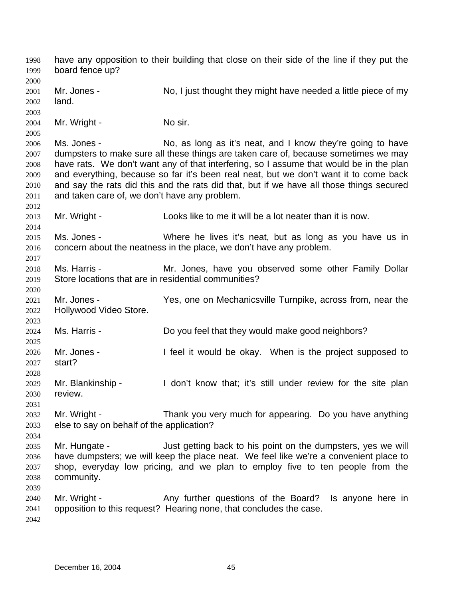have any opposition to their building that close on their side of the line if they put the board fence up? 1998 1999 2000 2001 2002 2003 2004 2005 2006 2007 2008 2009 2010 2011 2012 2013 2014 2015 2016 2017 2018 2019 2020 2021 2022 2023 2024 2025 2026 2027 2028 2029 2030 2031 2032 2033 2034 2035 2036 2037 2038 2039 2040 2041 2042 Mr. Jones - No, I just thought they might have needed a little piece of my land. Mr. Wright - No sir. Ms. Jones - No, as long as it's neat, and I know they're going to have dumpsters to make sure all these things are taken care of, because sometimes we may have rats. We don't want any of that interfering, so I assume that would be in the plan and everything, because so far it's been real neat, but we don't want it to come back and say the rats did this and the rats did that, but if we have all those things secured and taken care of, we don't have any problem. Mr. Wright - Looks like to me it will be a lot neater than it is now. Ms. Jones - Where he lives it's neat, but as long as you have us in concern about the neatness in the place, we don't have any problem. Ms. Harris - The Mr. Jones, have you observed some other Family Dollar Store locations that are in residential communities? Mr. Jones - Yes, one on Mechanicsville Turnpike, across from, near the Hollywood Video Store. Ms. Harris - Do you feel that they would make good neighbors? Mr. Jones - I feel it would be okay. When is the project supposed to start? Mr. Blankinship - I don't know that; it's still under review for the site plan review. Mr. Wright - Thank you very much for appearing. Do you have anything else to say on behalf of the application? Mr. Hungate - Just getting back to his point on the dumpsters, yes we will have dumpsters; we will keep the place neat. We feel like we're a convenient place to shop, everyday low pricing, and we plan to employ five to ten people from the community. Mr. Wright - The Any further questions of the Board? Is anyone here in opposition to this request? Hearing none, that concludes the case.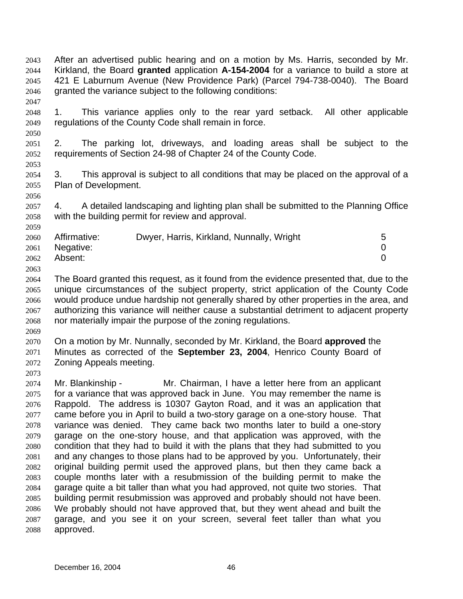- After an advertised public hearing and on a motion by Ms. Harris, seconded by Mr. Kirkland, the Board **granted** application **A-154-2004** for a variance to build a store at 421 E Laburnum Avenue (New Providence Park) (Parcel 794-738-0040). The Board granted the variance subject to the following conditions: 2043 2044 2045 2046
- 2048 2049 1. This variance applies only to the rear yard setback. All other applicable regulations of the County Code shall remain in force.
- 2051 2052 2. The parking lot, driveways, and loading areas shall be subject to the requirements of Section 24-98 of Chapter 24 of the County Code.
- 2054 2055 3. This approval is subject to all conditions that may be placed on the approval of a Plan of Development.
- 2057 2058 4. A detailed landscaping and lighting plan shall be submitted to the Planning Office with the building permit for review and approval.

| 2062<br>Absent: |  | 2060 Affirmative:<br>2061 Negative: | Dwyer, Harris, Kirkland, Nunnally, Wright | 5 |
|-----------------|--|-------------------------------------|-------------------------------------------|---|
|-----------------|--|-------------------------------------|-------------------------------------------|---|

- 2064 2065 2066 2067 2068 The Board granted this request, as it found from the evidence presented that, due to the unique circumstances of the subject property, strict application of the County Code would produce undue hardship not generally shared by other properties in the area, and authorizing this variance will neither cause a substantial detriment to adjacent property nor materially impair the purpose of the zoning regulations.
- 2069

2073

2047

2050

2053

2056

2059

2063

2070 2071 2072 On a motion by Mr. Nunnally, seconded by Mr. Kirkland, the Board **approved** the Minutes as corrected of the **September 23, 2004**, Henrico County Board of Zoning Appeals meeting.

2074 2075 2076 2077 2078 2079 2080 2081 2082 2083 2084 2085 2086 2087 2088 Mr. Blankinship - Mr. Chairman, I have a letter here from an applicant for a variance that was approved back in June. You may remember the name is Rappold. The address is 10307 Gayton Road, and it was an application that came before you in April to build a two-story garage on a one-story house. That variance was denied. They came back two months later to build a one-story garage on the one-story house, and that application was approved, with the condition that they had to build it with the plans that they had submitted to you and any changes to those plans had to be approved by you. Unfortunately, their original building permit used the approved plans, but then they came back a couple months later with a resubmission of the building permit to make the garage quite a bit taller than what you had approved, not quite two stories. That building permit resubmission was approved and probably should not have been. We probably should not have approved that, but they went ahead and built the garage, and you see it on your screen, several feet taller than what you approved.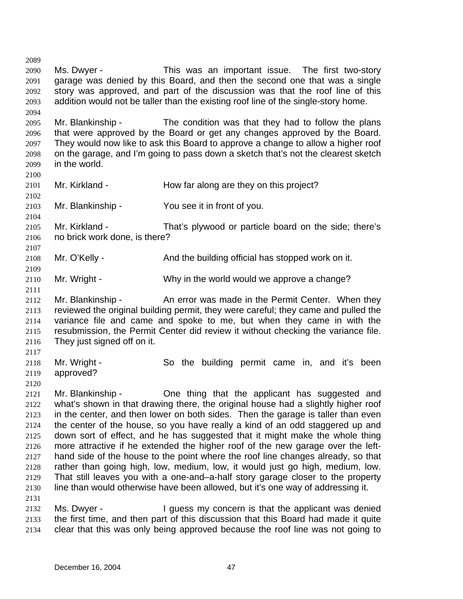2089 2090 2091 2092 2093 2094 2095 2096 2097 2098 2099 2100 2101 2102 2103 2104 2105 2106 2107 2108 2109 2110 2111 2112 2113 2114 2115 2116 2117 2118 2119 2120 2121 2122 2123 2124 2125 2126 2127 2128 2129 2130 2131 2132 2133 2134 Ms. Dwyer - This was an important issue. The first two-story garage was denied by this Board, and then the second one that was a single story was approved, and part of the discussion was that the roof line of this addition would not be taller than the existing roof line of the single-story home. Mr. Blankinship - The condition was that they had to follow the plans that were approved by the Board or get any changes approved by the Board. They would now like to ask this Board to approve a change to allow a higher roof on the garage, and I'm going to pass down a sketch that's not the clearest sketch in the world. Mr. Kirkland - How far along are they on this project? Mr. Blankinship - You see it in front of you. Mr. Kirkland - That's plywood or particle board on the side; there's no brick work done, is there? Mr. O'Kelly - And the building official has stopped work on it. Mr. Wright - Why in the world would we approve a change? Mr. Blankinship - The An error was made in the Permit Center. When they reviewed the original building permit, they were careful; they came and pulled the variance file and came and spoke to me, but when they came in with the resubmission, the Permit Center did review it without checking the variance file. They just signed off on it. Mr. Wright - So the building permit came in, and it's been approved? Mr. Blankinship - One thing that the applicant has suggested and what's shown in that drawing there, the original house had a slightly higher roof in the center, and then lower on both sides. Then the garage is taller than even the center of the house, so you have really a kind of an odd staggered up and down sort of effect, and he has suggested that it might make the whole thing more attractive if he extended the higher roof of the new garage over the lefthand side of the house to the point where the roof line changes already, so that rather than going high, low, medium, low, it would just go high, medium, low. That still leaves you with a one-and–a-half story garage closer to the property line than would otherwise have been allowed, but it's one way of addressing it. Ms. Dwyer - The University of the applicant was denied the first time, and then part of this discussion that this Board had made it quite clear that this was only being approved because the roof line was not going to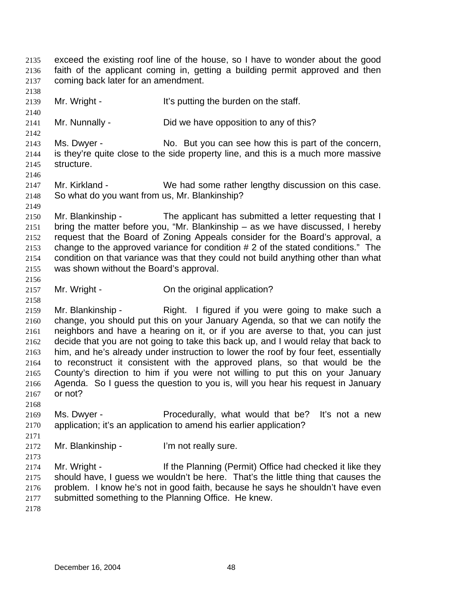exceed the existing roof line of the house, so I have to wonder about the good faith of the applicant coming in, getting a building permit approved and then coming back later for an amendment. 2135 2136 2137 2138 2139 2140 2141 2142 2143 2144 2145 2146 2147 2148 2149 2150 2151 2152 2153 2154 2155 2156 2157 2158 2159 2160 2161 2162 2163 2164 2165 2166 2167 2168 2169 2170 2171 2172 2173 2174 2175 2176 2177 2178 Mr. Wright - It's putting the burden on the staff. Mr. Nunnally - Did we have opposition to any of this? Ms. Dwyer - No. But you can see how this is part of the concern, is they're quite close to the side property line, and this is a much more massive structure. Mr. Kirkland - We had some rather lengthy discussion on this case. So what do you want from us, Mr. Blankinship? Mr. Blankinship - The applicant has submitted a letter requesting that I bring the matter before you, "Mr. Blankinship – as we have discussed, I hereby request that the Board of Zoning Appeals consider for the Board's approval, a change to the approved variance for condition # 2 of the stated conditions." The condition on that variance was that they could not build anything other than what was shown without the Board's approval. Mr. Wright - Con the original application? Mr. Blankinship - Right. I figured if you were going to make such a change, you should put this on your January Agenda, so that we can notify the neighbors and have a hearing on it, or if you are averse to that, you can just decide that you are not going to take this back up, and I would relay that back to him, and he's already under instruction to lower the roof by four feet, essentially to reconstruct it consistent with the approved plans, so that would be the County's direction to him if you were not willing to put this on your January Agenda. So I guess the question to you is, will you hear his request in January or not? Ms. Dwyer - Procedurally, what would that be? It's not a new application; it's an application to amend his earlier application? Mr. Blankinship - I'm not really sure. Mr. Wright - If the Planning (Permit) Office had checked it like they should have, I guess we wouldn't be here. That's the little thing that causes the problem. I know he's not in good faith, because he says he shouldn't have even submitted something to the Planning Office. He knew.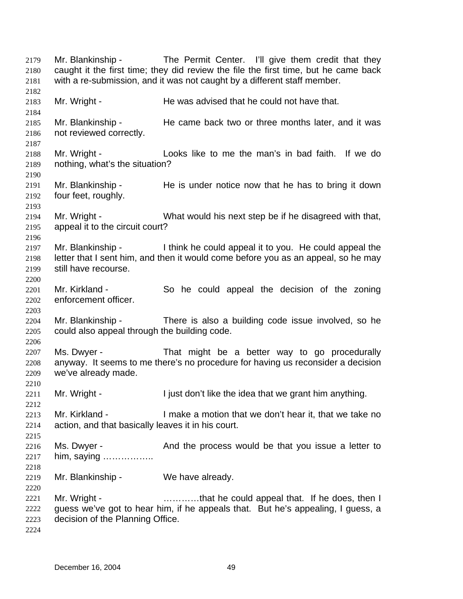Mr. Blankinship - The Permit Center. I'll give them credit that they caught it the first time; they did review the file the first time, but he came back with a re-submission, and it was not caught by a different staff member. 2179 2180 2181 2182 2183 2184 2185 2186 2187 2188 2189 2190 2191 2192 2193 2194 2195 2196 2197 2198 2199 2200 2201 2202 2203 2204 2205 2206 2207 2208 2209 2210 2211 2212 2213 2214 2215 2216 2217 2218 2219 2220 2221 2222 2223 2224 Mr. Wright - He was advised that he could not have that. Mr. Blankinship - The came back two or three months later, and it was not reviewed correctly. Mr. Wright - Looks like to me the man's in bad faith. If we do nothing, what's the situation? Mr. Blankinship - He is under notice now that he has to bring it down four feet, roughly. Mr. Wright - What would his next step be if he disagreed with that, appeal it to the circuit court? Mr. Blankinship - I think he could appeal it to you. He could appeal the letter that I sent him, and then it would come before you as an appeal, so he may still have recourse. Mr. Kirkland - So he could appeal the decision of the zoning enforcement officer. Mr. Blankinship - There is also a building code issue involved, so he could also appeal through the building code. Ms. Dwyer - That might be a better way to go procedurally anyway. It seems to me there's no procedure for having us reconsider a decision we've already made. Mr. Wright - I just don't like the idea that we grant him anything. Mr. Kirkland - The Summake a motion that we don't hear it, that we take no action, and that basically leaves it in his court. Ms. Dwyer - And the process would be that you issue a letter to him, saying …………….. Mr. Blankinship - We have already. Mr. Wright - **Example 20** ............that he could appeal that. If he does, then I guess we've got to hear him, if he appeals that. But he's appealing, I guess, a decision of the Planning Office.